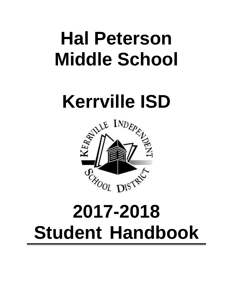# **Hal Peterson Middle School**



# **2017-2018 Student Handbook**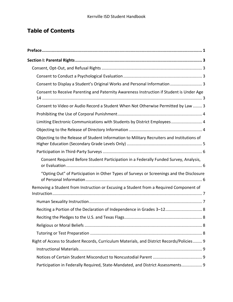# **Table of Contents**

| Consent to Display a Student's Original Works and Personal Information  3                  |  |
|--------------------------------------------------------------------------------------------|--|
| Consent to Receive Parenting and Paternity Awareness Instruction if Student is Under Age   |  |
| Consent to Video or Audio Record a Student When Not Otherwise Permitted by Law  3          |  |
|                                                                                            |  |
| Limiting Electronic Communications with Students by District Employees 4                   |  |
|                                                                                            |  |
| Objecting to the Release of Student Information to Military Recruiters and Institutions of |  |
|                                                                                            |  |
| Consent Required Before Student Participation in a Federally Funded Survey, Analysis,      |  |
| "Opting Out" of Participation in Other Types of Surveys or Screenings and the Disclosure   |  |
| Removing a Student from Instruction or Excusing a Student from a Required Component of     |  |
|                                                                                            |  |
| Reciting a Portion of the Declaration of Independence in Grades 3-12 8                     |  |
|                                                                                            |  |
|                                                                                            |  |
|                                                                                            |  |
| Right of Access to Student Records, Curriculum Materials, and District Records/Policies 9  |  |
|                                                                                            |  |
|                                                                                            |  |
| Participation in Federally Required, State-Mandated, and District Assessments 9            |  |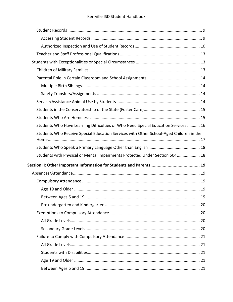| Students Who Have Learning Difficulties or Who Need Special Education Services  16     |
|----------------------------------------------------------------------------------------|
| Students Who Receive Special Education Services with Other School-Aged Children in the |
|                                                                                        |
| Students with Physical or Mental Impairments Protected Under Section 504 18            |
|                                                                                        |
|                                                                                        |
|                                                                                        |
|                                                                                        |
|                                                                                        |
| 19                                                                                     |
|                                                                                        |
|                                                                                        |
|                                                                                        |
|                                                                                        |
|                                                                                        |
|                                                                                        |
|                                                                                        |
|                                                                                        |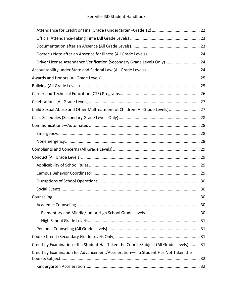#### Kerrville ISD Student Handbook

| Driver License Attendance Verification (Secondary Grade Levels Only)  24               |  |
|----------------------------------------------------------------------------------------|--|
|                                                                                        |  |
|                                                                                        |  |
|                                                                                        |  |
|                                                                                        |  |
|                                                                                        |  |
| Child Sexual Abuse and Other Maltreatment of Children (All Grade Levels) 27            |  |
|                                                                                        |  |
|                                                                                        |  |
|                                                                                        |  |
|                                                                                        |  |
|                                                                                        |  |
|                                                                                        |  |
|                                                                                        |  |
|                                                                                        |  |
|                                                                                        |  |
|                                                                                        |  |
|                                                                                        |  |
|                                                                                        |  |
|                                                                                        |  |
|                                                                                        |  |
|                                                                                        |  |
|                                                                                        |  |
| Credit by Examination-If a Student Has Taken the Course/Subject (All Grade Levels)  31 |  |
| Credit by Examination for Advancement/Acceleration-If a Student Has Not Taken the      |  |
|                                                                                        |  |
|                                                                                        |  |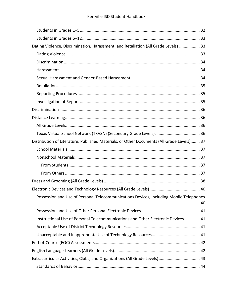| Dating Violence, Discrimination, Harassment, and Retaliation (All Grade Levels)  33       |  |
|-------------------------------------------------------------------------------------------|--|
|                                                                                           |  |
|                                                                                           |  |
|                                                                                           |  |
|                                                                                           |  |
|                                                                                           |  |
|                                                                                           |  |
|                                                                                           |  |
|                                                                                           |  |
|                                                                                           |  |
|                                                                                           |  |
|                                                                                           |  |
| Distribution of Literature, Published Materials, or Other Documents (All Grade Levels) 37 |  |
|                                                                                           |  |
|                                                                                           |  |
|                                                                                           |  |
|                                                                                           |  |
|                                                                                           |  |
|                                                                                           |  |
| Possession and Use of Personal Telecommunications Devices, Including Mobile Telephones    |  |
|                                                                                           |  |
| Instructional Use of Personal Telecommunications and Other Electronic Devices  41         |  |
|                                                                                           |  |
|                                                                                           |  |
|                                                                                           |  |
|                                                                                           |  |
| Extracurricular Activities, Clubs, and Organizations (All Grade Levels)  43               |  |
|                                                                                           |  |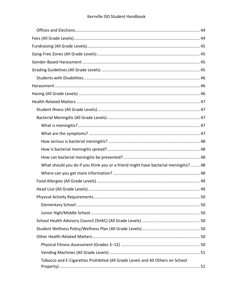| What should you do if you think you or a friend might have bacterial meningitis? 48 |    |
|-------------------------------------------------------------------------------------|----|
|                                                                                     |    |
|                                                                                     |    |
|                                                                                     |    |
|                                                                                     | 50 |
|                                                                                     |    |
|                                                                                     |    |
|                                                                                     |    |
|                                                                                     |    |
|                                                                                     |    |
|                                                                                     |    |
|                                                                                     |    |
| Tobacco and E-Cigarettes Prohibited (All Grade Levels and All Others on School      |    |
|                                                                                     |    |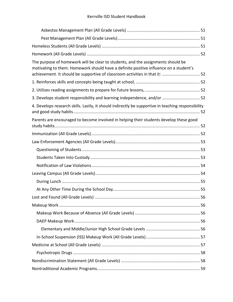#### Kerrville ISD Student Handbook

| The purpose of homework will be clear to students, and the assignments should be<br>motivating to them. Homework should have a definite positive influence on a student's<br>achievement. It should be supportive of classroom activities in that it:  52 |  |
|-----------------------------------------------------------------------------------------------------------------------------------------------------------------------------------------------------------------------------------------------------------|--|
|                                                                                                                                                                                                                                                           |  |
|                                                                                                                                                                                                                                                           |  |
| 3. Develops student responsibility and learning independence, and/or  52                                                                                                                                                                                  |  |
| 4. Develops research skills. Lastly, it should indirectly be supportive in teaching responsibility                                                                                                                                                        |  |
| Parents are encouraged to become involved in helping their students develop these good                                                                                                                                                                    |  |
|                                                                                                                                                                                                                                                           |  |
|                                                                                                                                                                                                                                                           |  |
|                                                                                                                                                                                                                                                           |  |
|                                                                                                                                                                                                                                                           |  |
|                                                                                                                                                                                                                                                           |  |
|                                                                                                                                                                                                                                                           |  |
|                                                                                                                                                                                                                                                           |  |
|                                                                                                                                                                                                                                                           |  |
| 56                                                                                                                                                                                                                                                        |  |
|                                                                                                                                                                                                                                                           |  |
|                                                                                                                                                                                                                                                           |  |
|                                                                                                                                                                                                                                                           |  |
|                                                                                                                                                                                                                                                           |  |
|                                                                                                                                                                                                                                                           |  |
|                                                                                                                                                                                                                                                           |  |
|                                                                                                                                                                                                                                                           |  |
|                                                                                                                                                                                                                                                           |  |
|                                                                                                                                                                                                                                                           |  |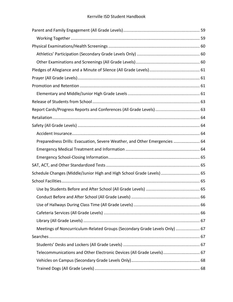| Preparedness Drills: Evacuation, Severe Weather, and Other Emergencies  64 |  |
|----------------------------------------------------------------------------|--|
|                                                                            |  |
|                                                                            |  |
|                                                                            |  |
| Schedule Changes (Middle/Junior High and High School Grade Levels)  65     |  |
|                                                                            |  |
|                                                                            |  |
|                                                                            |  |
|                                                                            |  |
|                                                                            |  |
|                                                                            |  |
| Meetings of Noncurriculum-Related Groups (Secondary Grade Levels Only)  67 |  |
|                                                                            |  |
|                                                                            |  |
| Telecommunications and Other Electronic Devices (All Grade Levels) 67      |  |
|                                                                            |  |
|                                                                            |  |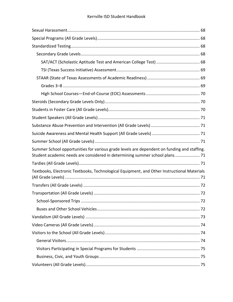| Summer School opportunities for various grade levels are dependent on funding and staffing.<br>Student academic needs are considered in determining summer school plans 71 |  |
|----------------------------------------------------------------------------------------------------------------------------------------------------------------------------|--|
|                                                                                                                                                                            |  |
| Textbooks, Electronic Textbooks, Technological Equipment, and Other Instructional Materials                                                                                |  |
|                                                                                                                                                                            |  |
|                                                                                                                                                                            |  |
|                                                                                                                                                                            |  |
|                                                                                                                                                                            |  |
|                                                                                                                                                                            |  |
|                                                                                                                                                                            |  |
|                                                                                                                                                                            |  |
|                                                                                                                                                                            |  |
|                                                                                                                                                                            |  |
|                                                                                                                                                                            |  |
|                                                                                                                                                                            |  |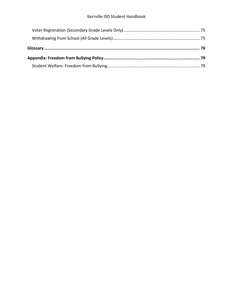#### Kerrville ISD Student Handbook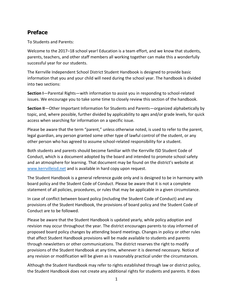#### <span id="page-10-0"></span>**Preface**

To Students and Parents:

Welcome to the 2017–18 school year! Education is a team effort, and we know that students, parents, teachers, and other staff members all working together can make this a wonderfully successful year for our students.

The Kerrville Independent School District Student Handbook is designed to provide basic information that you and your child will need during the school year. The handbook is divided into two sections:

**Section I**—Parental Rights—with information to assist you in responding to school-related issues. We encourage you to take some time to closely review this section of the handbook.

**Section II**—Other Important Information for Students and Parents—organized alphabetically by topic, and, where possible, further divided by applicability to ages and/or grade levels, for quick access when searching for information on a specific issue.

Please be aware that the term "parent," unless otherwise noted, is used to refer to the parent, legal guardian, any person granted some other type of lawful control of the student, or any other person who has agreed to assume school-related responsibility for a student.

Both students and parents should become familiar with the Kerrville ISD Student Code of Conduct, which is a document adopted by the board and intended to promote school safety and an atmosphere for learning. That document may be found on the district's website at [www.kerrvilleisd.net](http://www.kerrvilleisd.net/) and is available in hard copy upon request.

The Student Handbook is a general reference guide only and is designed to be in harmony with board policy and the Student Code of Conduct. Please be aware that it is not a complete statement of all policies, procedures, or rules that may be applicable in a given circumstance.

In case of conflict between board policy (including the Student Code of Conduct) and any provisions of the Student Handbook, the provisions of board policy and the Student Code of Conduct are to be followed.

Please be aware that the Student Handbook is updated yearly, while policy adoption and revision may occur throughout the year. The district encourages parents to stay informed of proposed board policy changes by attending board meetings. Changes in policy or other rules that affect Student Handbook provisions will be made available to students and parents through newsletters or other communications. The district reserves the right to modify provisions of the Student Handbook at any time, whenever it is deemed necessary. Notice of any revision or modification will be given as is reasonably practical under the circumstances.

Although the Student Handbook may refer to rights established through law or district policy, the Student Handbook does not create any additional rights for students and parents. It does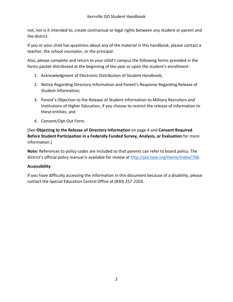not, nor is it intended to, create contractual or legal rights between any student or parent and the district.

If you or your child has questions about any of the material in this handbook, please contact a teacher, the school counselor, or the principal.

Also, please complete and return to your child's campus the following forms provided in the forms packet distributed at the beginning of the year or upon the student's enrollment:

- 1. Acknowledgment of Electronic Distribution of Student Handbook;
- 2. Notice Regarding Directory Information and Parent's Response Regarding Release of Student Information;
- 3. Parent's Objection to the Release of Student Information to Military Recruiters and Institutions of Higher Education, if you choose to restrict the release of information to these entities; and
- 4. Consent/Opt-Out Form.

[See **Objecting to the Release of Directory Information** [on page 4](#page-13-2) and **Consent Required Before Student Participation in a Federally Funded Survey, Analysis, or Evaluation** for more information.]

**Note:** References to policy codes are included so that parents can refer to board policy. The district's official policy manual is available for review at [http://pol.tasb.org/Home/Index/768.](http://pol.tasb.org/Home/Index/768)

#### **Accessibility**

If you have difficulty accessing the information in this document because of a disability, please contact the Special Education Central Office at (830) 257-2203.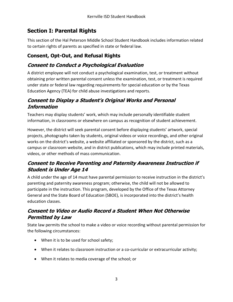# <span id="page-12-0"></span>**Section I: Parental Rights**

This section of the Hal Peterson Middle School Student Handbook includes information related to certain rights of parents as specified in state or federal law.

# <span id="page-12-1"></span>**Consent, Opt-Out, and Refusal Rights**

# <span id="page-12-2"></span>**Consent to Conduct a Psychological Evaluation**

A district employee will not conduct a psychological examination, test, or treatment without obtaining prior written parental consent unless the examination, test, or treatment is required under state or federal law regarding requirements for special education or by the Texas Education Agency (TEA) for child abuse investigations and reports.

#### <span id="page-12-3"></span>**Consent to Display a Student's Original Works and Personal Information**

Teachers may display students' work, which may include personally identifiable student information, in classrooms or elsewhere on campus as recognition of student achievement.

However, the district will seek parental consent before displaying students' artwork, special projects, photographs taken by students, original videos or voice recordings, and other original works on the district's website, a website affiliated or sponsored by the district, such as a campus or classroom website, and in district publications, which may include printed materials, videos, or other methods of mass communication.

# <span id="page-12-4"></span>**Consent to Receive Parenting and Paternity Awareness Instruction if Student is Under Age 14**

A child under the age of 14 must have parental permission to receive instruction in the district's parenting and paternity awareness program; otherwise, the child will not be allowed to participate in the instruction. This program, developed by the Office of the Texas Attorney General and the State Board of Education (SBOE), is incorporated into the district's health education classes.

## <span id="page-12-5"></span>**Consent to Video or Audio Record a Student When Not Otherwise Permitted by Law**

State law permits the school to make a video or voice recording without parental permission for the following circumstances:

- When it is to be used for school safety;
- When it relates to classroom instruction or a co-curricular or extracurricular activity;
- When it relates to media coverage of the school; or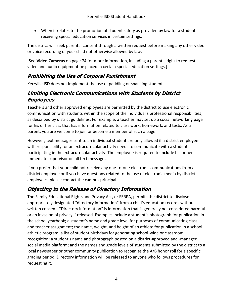When it relates to the promotion of student safety as provided by law for a student receiving special education services in certain settings.

The district will seek parental consent through a written request before making any other video or voice recording of your child not otherwise allowed by law.

[See **Video Cameras** [on page 74](#page-83-0) for more information, including a parent's right to request video and audio equipment be placed in certain special education settings.]

#### <span id="page-13-0"></span>**Prohibiting the Use of Corporal Punishment**

Kerrville ISD does not implement the use of paddling or spanking students.

#### <span id="page-13-1"></span>**Limiting Electronic Communications with Students by District Employees**

Teachers and other approved employees are permitted by the district to use electronic communication with students within the scope of the individual's professional responsibilities, as described by district guidelines. For example, a teacher may set up a social networking page for his or her class that has information related to class work, homework, and tests. As a parent, you are welcome to join or become a member of such a page.

However, text messages sent to an individual student are only allowed if a district employee with responsibility for an extracurricular activity needs to communicate with a student participating in the extracurricular activity. The employee is required to include his or her immediate supervisor on all text messages.

If you prefer that your child not receive any one-to-one electronic communications from a district employee or if you have questions related to the use of electronic media by district employees, please contact the campus principal.

#### <span id="page-13-2"></span>**Objecting to the Release of Directory Information**

The Family Educational Rights and Privacy Act, or FERPA, permits the district to disclose appropriately designated "directory information" from a child's education records without written consent. "Directory information" is information that is generally not considered harmful or an invasion of privacy if released. Examples include a student's photograph for publication in the school yearbook; a student's name and grade level for purposes of communicating class and teacher assignment; the name, weight, and height of an athlete for publication in a school athletic program; a list of student birthdays for generating school-wide or classroom recognition; a student's name and photograph posted on a district-approved and -managed social media platform; and the names and grade levels of students submitted by the district to a local newspaper or other community publication to recognize the A/B honor roll for a specific grading period. Directory information will be released to anyone who follows procedures for requesting it.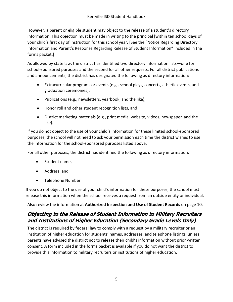However, a parent or eligible student may object to the release of a student's directory information. This objection must be made in writing to the principal [within ten school days of your child's first day of instruction for this school year. [See the "Notice Regarding Directory Information and Parent's Response Regarding Release of Student Information" included in the forms packet.]

As allowed by state law, the district has identified two directory information lists—one for school-sponsored purposes and the second for all other requests. For all district publications and announcements, the district has designated the following as directory information:

- Extracurricular programs or events (e.g., school plays, concerts, athletic events, and graduation ceremonies),
- Publications (e.g., newsletters, yearbook, and the like),
- Honor roll and other student recognition lists, and
- District marketing materials (e.g., print media, website, videos, newspaper, and the like).

If you do not object to the use of your child's information for these limited school-sponsored purposes, the school will not need to ask your permission each time the district wishes to use the information for the school-sponsored purposes listed above.

For all other purposes, the district has identified the following as directory information:

- Student name,
- Address, and
- Telephone Number.

If you do not object to the use of your child's information for these purposes, the school must release this information when the school receives a request from an outside entity or individual.

Also review the information at **Authorized Inspection and Use of Student Records** [on page 10.](#page-19-0)

## <span id="page-14-0"></span>**Objecting to the Release of Student Information to Military Recruiters and Institutions of Higher Education (Secondary Grade Levels Only)**

The district is required by federal law to comply with a request by a military recruiter or an institution of higher education for students' names, addresses, and telephone listings, unless parents have advised the district not to release their child's information without prior written consent. A form included in the forms packet is available if you do not want the district to provide this information to military recruiters or institutions of higher education.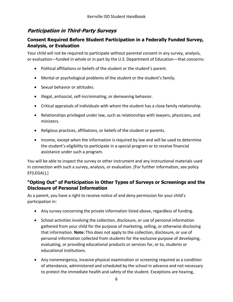#### <span id="page-15-0"></span>**Participation in Third-Party Surveys**

#### <span id="page-15-1"></span>**Consent Required Before Student Participation in a Federally Funded Survey, Analysis, or Evaluation**

Your child will not be required to participate without parental consent in any survey, analysis, or evaluation—funded in whole or in part by the U.S. Department of Education—that concerns:

- Political affiliations or beliefs of the student or the student's parent.
- Mental or psychological problems of the student or the student's family.
- Sexual behavior or attitudes.
- Illegal, antisocial, self-incriminating, or demeaning behavior.
- Critical appraisals of individuals with whom the student has a close family relationship.
- Relationships privileged under law, such as relationships with lawyers, physicians, and ministers.
- Religious practices, affiliations, or beliefs of the student or parents.
- Income, except when the information is required by law and will be used to determine the student's eligibility to participate in a special program or to receive financial assistance under such a program.

You will be able to inspect the survey or other instrument and any instructional materials used in connection with such a survey, analysis, or evaluation. [For further information, see policy EF(LEGAL).]

#### <span id="page-15-2"></span>**"Opting Out" of Participation in Other Types of Surveys or Screenings and the Disclosure of Personal Information**

As a parent, you have a right to receive notice of and deny permission for your child's participation in:

- Any survey concerning the private information listed above, regardless of funding.
- School activities involving the collection, disclosure, or use of personal information gathered from your child for the purpose of marketing, selling, or otherwise disclosing that information. **Note:** This does not apply to the collection, disclosure, or use of personal information collected from students for the exclusive purpose of developing, evaluating, or providing educational products or services for, or to, students or educational institutions.
- Any nonemergency, invasive physical examination or screening required as a condition of attendance, administered and scheduled by the school in advance and not necessary to protect the immediate health and safety of the student. Exceptions are hearing,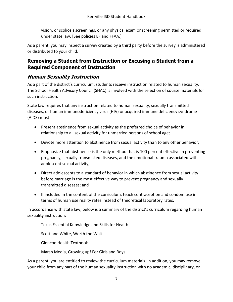vision, or scoliosis screenings, or any physical exam or screening permitted or required under state law. [See policies EF and FFAA.]

As a parent, you may inspect a survey created by a third party before the survey is administered or distributed to your child.

#### <span id="page-16-0"></span>**Removing a Student from Instruction or Excusing a Student from a Required Component of Instruction**

#### <span id="page-16-1"></span>**Human Sexuality Instruction**

As a part of the district's curriculum, students receive instruction related to human sexuality. The School Health Advisory Council (SHAC) is involved with the selection of course materials for such instruction.

State law requires that any instruction related to human sexuality, sexually transmitted diseases, or human immunodeficiency virus (HIV) or acquired immune deficiency syndrome (AIDS) must:

- Present abstinence from sexual activity as the preferred choice of behavior in relationship to all sexual activity for unmarried persons of school age;
- Devote more attention to abstinence from sexual activity than to any other behavior;
- Emphasize that abstinence is the only method that is 100 percent effective in preventing pregnancy, sexually transmitted diseases, and the emotional trauma associated with adolescent sexual activity;
- Direct adolescents to a standard of behavior in which abstinence from sexual activity before marriage is the most effective way to prevent pregnancy and sexually transmitted diseases; and
- If included in the content of the curriculum, teach contraception and condom use in terms of human use reality rates instead of theoretical laboratory rates.

In accordance with state law, below is a summary of the district's curriculum regarding human sexuality instruction:

Texas Essential Knowledge and Skills for Health

Scott and White, Worth the Wait

Glencoe Health Textbook

Marsh Media, Growing up! For Girls and Boys

As a parent, you are entitled to review the curriculum materials. In addition, you may remove your child from any part of the human sexuality instruction with no academic, disciplinary, or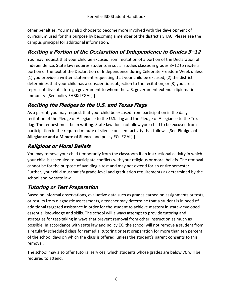other penalties. You may also choose to become more involved with the development of curriculum used for this purpose by becoming a member of the district's SHAC. Please see the campus principal for additional information.

## <span id="page-17-0"></span>**Reciting a Portion of the Declaration of Independence in Grades 3–12**

You may request that your child be excused from recitation of a portion of the Declaration of Independence. State law requires students in social studies classes in grades 3–12 to recite a portion of the text of the Declaration of Independence during Celebrate Freedom Week unless (1) you provide a written statement requesting that your child be excused, (2) the district determines that your child has a conscientious objection to the recitation, or (3) you are a representative of a foreign government to whom the U.S. government extends diplomatic immunity. [See policy EHBK(LEGAL).]

# <span id="page-17-1"></span>**Reciting the Pledges to the U.S. and Texas Flags**

As a parent, you may request that your child be excused from participation in the daily recitation of the Pledge of Allegiance to the U.S. flag and the Pledge of Allegiance to the Texas flag. The request must be in writing. State law does not allow your child to be excused from participation in the required minute of silence or silent activity that follows. [See **Pledges of Allegiance and a Minute of Silence** and policy EC(LEGAL).]

# <span id="page-17-2"></span>**Religious or Moral Beliefs**

You may remove your child temporarily from the classroom if an instructional activity in which your child is scheduled to participate conflicts with your religious or moral beliefs. The removal cannot be for the purpose of avoiding a test and may not extend for an entire semester. Further, your child must satisfy grade-level and graduation requirements as determined by the school and by state law.

# <span id="page-17-3"></span>**Tutoring or Test Preparation**

Based on informal observations, evaluative data such as grades earned on assignments or tests, or results from diagnostic assessments, a teacher may determine that a student is in need of additional targeted assistance in order for the student to achieve mastery in state-developed essential knowledge and skills. The school will always attempt to provide tutoring and strategies for test-taking in ways that prevent removal from other instruction as much as possible. In accordance with state law and policy EC, the school will not remove a student from a regularly scheduled class for remedial tutoring or test preparation for more than ten percent of the school days on which the class is offered, unless the student's parent consents to this removal.

The school may also offer tutorial services, which students whose grades are below 70 will be required to attend.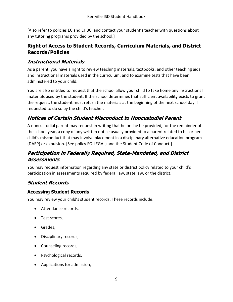[Also refer to policies EC and EHBC, and contact your student's teacher with questions about any tutoring programs provided by the school.]

#### <span id="page-18-0"></span>**Right of Access to Student Records, Curriculum Materials, and District Records/Policies**

#### <span id="page-18-1"></span>**Instructional Materials**

As a parent, you have a right to review teaching materials, textbooks, and other teaching aids and instructional materials used in the curriculum, and to examine tests that have been administered to your child.

You are also entitled to request that the school allow your child to take home any instructional materials used by the student. If the school determines that sufficient availability exists to grant the request, the student must return the materials at the beginning of the next school day if requested to do so by the child's teacher.

## <span id="page-18-2"></span>**Notices of Certain Student Misconduct to Noncustodial Parent**

A noncustodial parent may request in writing that he or she be provided, for the remainder of the school year, a copy of any written notice usually provided to a parent related to his or her child's misconduct that may involve placement in a disciplinary alternative education program (DAEP) or expulsion. [See policy FO(LEGAL) and the Student Code of Conduct.]

#### <span id="page-18-3"></span>**Participation in Federally Required, State-Mandated, and District Assessments**

You may request information regarding any state or district policy related to your child's participation in assessments required by federal law, state law, or the district.

#### <span id="page-18-4"></span>**Student Records**

#### <span id="page-18-5"></span>**Accessing Student Records**

You may review your child's student records. These records include:

- Attendance records,
- Test scores,
- Grades,
- Disciplinary records,
- Counseling records,
- Psychological records,
- Applications for admission,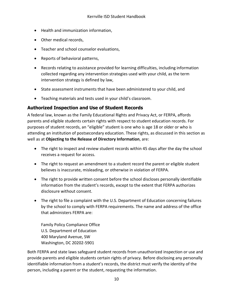- Health and immunization information,
- Other medical records,
- Teacher and school counselor evaluations,
- Reports of behavioral patterns,
- Records relating to assistance provided for learning difficulties, including information collected regarding any intervention strategies used with your child, as the term intervention strategy is defined by law,
- State assessment instruments that have been administered to your child, and
- Teaching materials and tests used in your child's classroom.

#### <span id="page-19-0"></span>**Authorized Inspection and Use of Student Records**

A federal law, known as the Family Educational Rights and Privacy Act, or FERPA, affords parents and eligible students certain rights with respect to student education records. For purposes of student records, an "eligible" student is one who is age 18 or older or who is attending an institution of postsecondary education. These rights, as discussed in this section as well as at **Objecting to the Release of Directory Information**, are:

- The right to inspect and review student records within 45 days after the day the school receives a request for access.
- The right to request an amendment to a student record the parent or eligible student believes is inaccurate, misleading, or otherwise in violation of FERPA.
- The right to provide written consent before the school discloses personally identifiable information from the student's records, except to the extent that FERPA authorizes disclosure without consent.
- The right to file a complaint with the U.S. Department of Education concerning failures by the school to comply with FERPA requirements. The name and address of the office that administers FERPA are:

Family Policy Compliance Office U.S. Department of Education 400 Maryland Avenue, SW Washington, DC 20202-5901

Both FERPA and state laws safeguard student records from unauthorized inspection or use and provide parents and eligible students certain rights of privacy. Before disclosing any personally identifiable information from a student's records, the district must verify the identity of the person, including a parent or the student, requesting the information.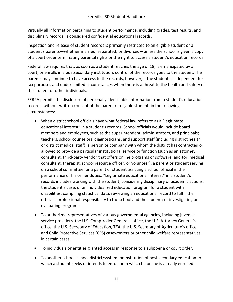Virtually all information pertaining to student performance, including grades, test results, and disciplinary records, is considered confidential educational records.

Inspection and release of student records is primarily restricted to an eligible student or a student's parents—whether married, separated, or divorced—unless the school is given a copy of a court order terminating parental rights or the right to access a student's education records.

Federal law requires that, as soon as a student reaches the age of 18, is emancipated by a court, or enrolls in a postsecondary institution, control of the records goes to the student. The parents may continue to have access to the records, however, if the student is a dependent for tax purposes and under limited circumstances when there is a threat to the health and safety of the student or other individuals.

FERPA permits the disclosure of personally identifiable information from a student's education records, without written consent of the parent or eligible student, in the following circumstances:

- When district school officials have what federal law refers to as a "legitimate educational interest" in a student's records. School officials would include board members and employees, such as the superintendent, administrators, and principals; teachers, school counselors, diagnosticians, and support staff (including district health or district medical staff); a person or company with whom the district has contracted or allowed to provide a particular institutional service or function (such as an attorney, consultant, third-party vendor that offers online programs or software, auditor, medical consultant, therapist, school resource officer, or volunteer); a parent or student serving on a school committee; or a parent or student assisting a school official in the performance of his or her duties. "Legitimate educational interest" in a student's records includes working with the student; considering disciplinary or academic actions, the student's case, or an individualized education program for a student with disabilities; compiling statistical data; reviewing an educational record to fulfill the official's professional responsibility to the school and the student; or investigating or evaluating programs.
- To authorized representatives of various governmental agencies, including juvenile service providers, the U.S. Comptroller General's office, the U.S. Attorney General's office, the U.S. Secretary of Education, TEA, the U.S. Secretary of Agriculture's office, and Child Protective Services (CPS) caseworkers or other child welfare representatives, in certain cases.
- To individuals or entities granted access in response to a subpoena or court order.
- To another school, school district/system, or institution of postsecondary education to which a student seeks or intends to enroll or in which he or she is already enrolled.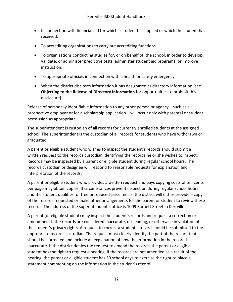- In connection with financial aid for which a student has applied or which the student has received.
- To accrediting organizations to carry out accrediting functions.
- To organizations conducting studies for, or on behalf of, the school, in order to develop, validate, or administer predictive tests; administer student aid programs; or improve instruction.
- To appropriate officials in connection with a health or safety emergency.
- When the district discloses information it has designated as directory information [see **Objecting to the Release of Directory Information** for opportunities to prohibit this disclosure].

Release of personally identifiable information to any other person or agency—such as a prospective employer or for a scholarship application—will occur only with parental or student permission as appropriate.

The superintendent is custodian of all records for currently enrolled students at the assigned school. The superintendent is the custodian of all records for students who have withdrawn or graduated.

A parent or eligible student who wishes to inspect the student's records should submit a written request to the records custodian identifying the records he or she wishes to inspect. Records may be inspected by a parent or eligible student during regular school hours. The records custodian or designee will respond to reasonable requests for explanation and interpretation of the records.

A parent or eligible student who provides a written request and pays copying costs of ten cents per page may obtain copies. If circumstances prevent inspection during regular school hours and the student qualifies for free or reduced-price meals, the district will either provide a copy of the records requested or make other arrangements for the parent or student to review these records. The address of the superintendent's office is 1009 Barnett Street in Kerrville.

A parent (or eligible student) may inspect the student's records and request a correction or amendment if the records are considered inaccurate, misleading, or otherwise in violation of the student's privacy rights. A request to correct a student's record should be submitted to the appropriate records custodian. The request must clearly identify the part of the record that should be corrected and include an explanation of how the information in the record is inaccurate. If the district denies the request to amend the records, the parent or eligible student has the right to request a hearing. If the records are not amended as a result of the hearing, the parent or eligible student has 30 school days to exercise the right to place a statement commenting on the information in the student's record.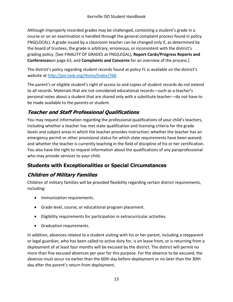Although improperly recorded grades may be challenged, contesting a student's grade in a course or on an examination is handled through the general complaint process found in policy FNG(LOCAL). A grade issued by a classroom teacher can be changed only if, as determined by the board of trustees, the grade is arbitrary, erroneous, or inconsistent with the district's grading policy. [See FINALITY OF GRADES at FNG(LEGAL), **Report Cards/Progress Reports and Conferences**[on page 63,](#page-72-1) and **Complaints and Concerns** for an overview of the process.]

The district's policy regarding student records found at policy FL is available on the district's website at [http://pol.tasb.org/Home/Index/768.](http://pol.tasb.org/Home/Index/768)

The parent's or eligible student's right of access to and copies of student records do not extend to all records. Materials that are not considered educational records—such as a teacher's personal notes about a student that are shared only with a substitute teacher—do not have to be made available to the parents or student.

# <span id="page-22-0"></span>**Teacher and Staff Professional Qualifications**

You may request information regarding the professional qualifications of your child's teachers, including whether a teacher has met state qualification and licensing criteria for the grade levels and subject areas in which the teacher provides instruction; whether the teacher has an emergency permit or other provisional status for which state requirements have been waived; and whether the teacher is currently teaching in the field of discipline of his or her certification. You also have the right to request information about the qualifications of any paraprofessional who may provide services to your child.

# <span id="page-22-1"></span>**Students with Exceptionalities or Special Circumstances**

# <span id="page-22-2"></span>**Children of Military Families**

Children of military families will be provided flexibility regarding certain district requirements, including:

- Immunization requirements.
- Grade level, course, or educational program placement.
- Eligibility requirements for participation in extracurricular activities.
- Graduation requirements.

In addition, absences related to a student visiting with his or her parent, including a stepparent or legal guardian, who has been called to active duty for, is on leave from, or is returning from a deployment of at least four months will be excused by the district. The district will permit no more than five excused absences per year for this purpose. For the absence to be excused, the absence must occur no earlier than the 60th day before deployment or no later than the 30th day after the parent's return from deployment.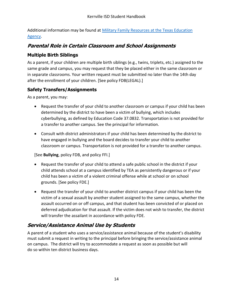Additional information may be found at [Military Family Resources at the Texas Education](http://tea.texas.gov/index2.aspx?id=7995)  [Agency.](http://tea.texas.gov/index2.aspx?id=7995)

#### <span id="page-23-0"></span>**Parental Role in Certain Classroom and School Assignments**

#### <span id="page-23-1"></span>**Multiple Birth Siblings**

As a parent, if your children are multiple birth siblings (e.g., twins, triplets, etc.) assigned to the same grade and campus, you may request that they be placed either in the same classroom or in separate classrooms. Your written request must be submitted no later than the 14th day after the enrollment of your children. [See policy FDB(LEGAL).]

#### <span id="page-23-2"></span>**Safety Transfers/Assignments**

As a parent, you may:

- Request the transfer of your child to another classroom or campus if your child has been determined by the district to have been a victim of bullying, which includes cyberbullying, as defined by Education Code 37.0832. Transportation is not provided for a transfer to another campus. See the principal for information.
- Consult with district administrators if your child has been determined by the district to have engaged in bullying and the board decides to transfer your child to another classroom or campus. Transportation is not provided for a transfer to another campus.

[See **Bullying**, policy FDB, and policy FFI.]

- Request the transfer of your child to attend a safe public school in the district if your child attends school at a campus identified by TEA as persistently dangerous or if your child has been a victim of a violent criminal offense while at school or on school grounds. [See policy FDE.]
- Request the transfer of your child to another district campus if your child has been the victim of a sexual assault by another student assigned to the same campus, whether the assault occurred on or off campus, and that student has been convicted of or placed on deferred adjudication for that assault. If the victim does not wish to transfer, the district will transfer the assailant in accordance with policy FDE.

#### <span id="page-23-3"></span>**Service/Assistance Animal Use by Students**

A parent of a student who uses a service/assistance animal because of the student's disability must submit a request in writing to the principal before bringing the service/assistance animal on campus. The district will try to accommodate a request as soon as possible but will do so within ten district business days.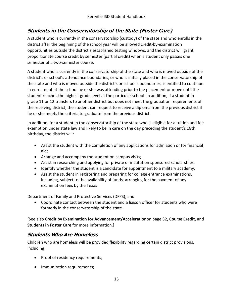#### <span id="page-24-0"></span>**Students in the Conservatorship of the State (Foster Care)**

A student who is currently in the conservatorship (custody) of the state and who enrolls in the district after the beginning of the school year will be allowed credit-by-examination opportunities outside the district's established testing windows, and the district will grant proportionate course credit by semester (partial credit) when a student only passes one semester of a two-semester course.

A student who is currently in the conservatorship of the state and who is moved outside of the district's or school's attendance boundaries, or who is initially placed in the conservatorship of the state and who is moved outside the district's or school's boundaries, is entitled to continue in enrollment at the school he or she was attending prior to the placement or move until the student reaches the highest grade level at the particular school. In addition, if a student in grade 11 or 12 transfers to another district but does not meet the graduation requirements of the receiving district, the student can request to receive a diploma from the previous district if he or she meets the criteria to graduate from the previous district.

In addition, for a student in the conservatorship of the state who is eligible for a tuition and fee exemption under state law and likely to be in care on the day preceding the student's 18th birthday, the district will:

- Assist the student with the completion of any applications for admission or for financial aid;
- Arrange and accompany the student on campus visits;
- Assist in researching and applying for private or institution sponsored scholarships;
- Identify whether the student is a candidate for appointment to a military academy;
- Assist the student in registering and preparing for college entrance examinations, including, subject to the availability of funds, arranging for the payment of any examination fees by the Texas

Department of Family and Protective Services (DFPS); and

 Coordinate contact between the student and a liaison officer for students who were formerly in the conservatorship of the state.

[See also **Credit by Examination for Advancement/Acceleration**[on page 32,](#page-41-0) **Course Credit**, and **Students in Foster Care** for more information.]

#### <span id="page-24-1"></span>**Students Who Are Homeless**

Children who are homeless will be provided flexibility regarding certain district provisions, including:

- Proof of residency requirements;
- Immunization requirements;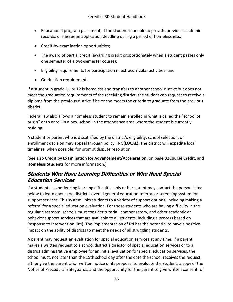- Educational program placement, if the student is unable to provide previous academic records, or misses an application deadline during a period of homelessness;
- Credit-by-examination opportunities;
- The award of partial credit (awarding credit proportionately when a student passes only one semester of a two-semester course);
- Eligibility requirements for participation in extracurricular activities; and
- Graduation requirements.

If a student in grade 11 or 12 is homeless and transfers to another school district but does not meet the graduation requirements of the receiving district, the student can request to receive a diploma from the previous district if he or she meets the criteria to graduate from the previous district.

Federal law also allows a homeless student to remain enrolled in what is called the "school of origin" or to enroll in a new school in the attendance area where the student is currently residing.

A student or parent who is dissatisfied by the district's eligibility, school selection, or enrollment decision may appeal through policy FNG(LOCAL). The district will expedite local timelines, when possible, for prompt dispute resolution.

[See also **Credit by Examination for Advancement/Acceleration,** [on page 32](#page-41-0)**Course Credit**, and **Homeless Students** for more information.]

#### <span id="page-25-0"></span>**Students Who Have Learning Difficulties or Who Need Special Education Services**

If a student is experiencing learning difficulties, his or her parent may contact the person listed below to learn about the district's overall general education referral or screening system for support services. This system links students to a variety of support options, including making a referral for a special education evaluation. For those students who are having difficulty in the regular classroom, schools must consider tutorial, compensatory, and other academic or behavior support services that are available to all students, including a process based on Response to Intervention (RtI). The implementation of RtI has the potential to have a positive impact on the ability of districts to meet the needs of all struggling students.

A parent may request an evaluation for special education services at any time. If a parent makes a written request to a school district's director of special education services or to a district administrative employee for an initial evaluation for special education services, the school must, not later than the 15th school day after the date the school receives the request, either give the parent prior written notice of its proposal to evaluate the student, a copy of the Notice of Procedural Safeguards, and the opportunity for the parent to give written consent for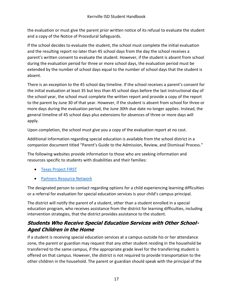the evaluation or must give the parent prior written notice of its refusal to evaluate the student and a copy of the Notice of Procedural Safeguards.

If the school decides to evaluate the student, the school must complete the initial evaluation and the resulting report no later than 45 school days from the day the school receives a parent's written consent to evaluate the student. However, if the student is absent from school during the evaluation period for three or more school days, the evaluation period must be extended by the number of school days equal to the number of school days that the student is absent.

There is an exception to the 45 school day timeline. If the school receives a parent's consent for the initial evaluation at least 35 but less than 45 school days before the last instructional day of the school year, the school must complete the written report and provide a copy of the report to the parent by June 30 of that year. However, if the student is absent from school for three or more days during the evaluation period, the June 30th due date no longer applies. Instead, the general timeline of 45 school days plus extensions for absences of three or more days will apply.

Upon completion, the school must give you a copy of the evaluation report at no cost.

Additional information regarding special education is available from the school district in a companion document titled "Parent's Guide to the Admission, Review, and Dismissal Process."

The following websites provide information to those who are seeking information and resources specific to students with disabilities and their families:

- [Texas Project FIRST](http://www.texasprojectfirst.org/)
- **[Partners Resource Network](http://prntexas.org/)**

The designated person to contact regarding options for a child experiencing learning difficulties or a referral for evaluation for special education services is your child's campus principal.

The district will notify the parent of a student, other than a student enrolled in a special education program, who receives assistance from the district for learning difficulties, including intervention strategies, that the district provides assistance to the student.

#### <span id="page-26-0"></span>**Students Who Receive Special Education Services with Other School-Aged Children in the Home**

If a student is receiving special education services at a campus outside his or her attendance zone, the parent or guardian may request that any other student residing in the household be transferred to the same campus, if the appropriate grade level for the transferring student is offered on that campus. However, the district is not required to provide transportation to the other children in the household. The parent or guardian should speak with the principal of the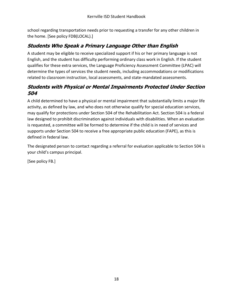school regarding transportation needs prior to requesting a transfer for any other children in the home. [See policy FDB(LOCAL).]

# <span id="page-27-0"></span>**Students Who Speak a Primary Language Other than English**

A student may be eligible to receive specialized support if his or her primary language is not English, and the student has difficulty performing ordinary class work in English. If the student qualifies for these extra services, the Language Proficiency Assessment Committee (LPAC) will determine the types of services the student needs, including accommodations or modifications related to classroom instruction, local assessments, and state-mandated assessments.

#### <span id="page-27-1"></span>**Students with Physical or Mental Impairments Protected Under Section 504**

A child determined to have a physical or mental impairment that substantially limits a major life activity, as defined by law, and who does not otherwise qualify for special education services, may qualify for protections under Section 504 of the Rehabilitation Act. Section 504 is a federal law designed to prohibit discrimination against individuals with disabilities. When an evaluation is requested, a committee will be formed to determine if the child is in need of services and supports under Section 504 to receive a free appropriate public education (FAPE), as this is defined in federal law.

The designated person to contact regarding a referral for evaluation applicable to Section 504 is your child's campus principal.

[See policy FB.]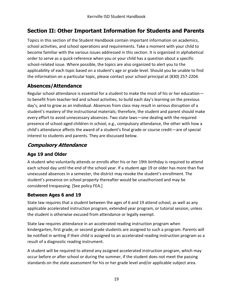# <span id="page-28-0"></span>**Section II: Other Important Information for Students and Parents**

Topics in this section of the Student Handbook contain important information on academics, school activities, and school operations and requirements. Take a moment with your child to become familiar with the various issues addressed in this section. It is organized in alphabetical order to serve as a quick-reference when you or your child has a question about a specific school-related issue. Where possible, the topics are also organized to alert you to the applicability of each topic based on a student's age or grade level. Should you be unable to find the information on a particular topic, please contact your school principal at (830) 257-2204.

#### <span id="page-28-1"></span>**Absences/Attendance**

Regular school attendance is essential for a student to make the most of his or her education to benefit from teacher-led and school activities, to build each day's learning on the previous day's, and to grow as an individual. Absences from class may result in serious disruption of a student's mastery of the instructional materials; therefore, the student and parent should make every effort to avoid unnecessary absences. Two state laws—one dealing with the required presence of school-aged children in school, e.g., compulsory attendance, the other with how a child's attendance affects the award of a student's final grade or course credit—are of special interest to students and parents. They are discussed below.

#### <span id="page-28-2"></span>**Compulsory Attendance**

#### <span id="page-28-3"></span>**Age 19 and Older**

A student who voluntarily attends or enrolls after his or her 19th birthday is required to attend each school day until the end of the school year. If a student age 19 or older has more than five unexcused absences in a semester, the district may revoke the student's enrollment. The student's presence on school property thereafter would be unauthorized and may be considered trespassing. [See policy FEA.]

#### <span id="page-28-4"></span>**Between Ages 6 and 19**

State law requires that a student between the ages of 6 and 19 attend school, as well as any applicable accelerated instruction program, extended year program, or tutorial session, unless the student is otherwise excused from attendance or legally exempt.

State law requires attendance in an accelerated reading instruction program when kindergarten, first grade, or second grade students are assigned to such a program. Parents will be notified in writing if their child is assigned to an accelerated reading instruction program as a result of a diagnostic reading instrument.

A student will be required to attend any assigned accelerated instruction program, which may occur before or after school or during the summer, if the student does not meet the passing standards on the state assessment for his or her grade level and/or applicable subject area.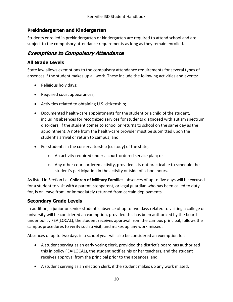#### <span id="page-29-0"></span>**Prekindergarten and Kindergarten**

Students enrolled in prekindergarten or kindergarten are required to attend school and are subject to the compulsory attendance requirements as long as they remain enrolled.

#### <span id="page-29-1"></span>**Exemptions to Compulsory Attendance**

#### <span id="page-29-2"></span>**All Grade Levels**

State law allows exemptions to the compulsory attendance requirements for several types of absences if the student makes up all work. These include the following activities and events:

- Religious holy days;
- Required court appearances;
- Activities related to obtaining U.S. citizenship;
- Documented health-care appointments for the student or a child of the student, including absences for recognized services for students diagnosed with autism spectrum disorders, if the student comes to school or returns to school on the same day as the appointment. A note from the health-care provider must be submitted upon the student's arrival or return to campus; and
- For students in the conservatorship (custody) of the state,
	- o An activity required under a court-ordered service plan; or
	- $\circ$  Any other court-ordered activity, provided it is not practicable to schedule the student's participation in the activity outside of school hours.

As listed in Section I at **Children of Military Families**, absences of up to five days will be excused for a student to visit with a parent, stepparent, or legal guardian who has been called to duty for, is on leave from, or immediately returned from certain deployments.

#### <span id="page-29-3"></span>**Secondary Grade Levels**

In addition, a junior or senior student's absence of up to two days related to visiting a college or university will be considered an exemption, provided this has been authorized by the board under policy FEA(LOCAL), the student receives approval from the campus principal, follows the campus procedures to verify such a visit, and makes up any work missed.

Absences of up to two days in a school year will also be considered an exemption for:

- A student serving as an early voting clerk, provided the district's board has authorized this in policy FEA(LOCAL), the student notifies his or her teachers, and the student receives approval from the principal prior to the absences; and
- A student serving as an election clerk, if the student makes up any work missed.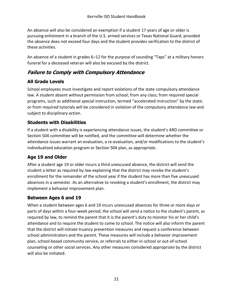An absence will also be considered an exemption if a student 17 years of age or older is pursuing enlistment in a branch of the U.S. armed services or Texas National Guard, provided the absence does not exceed four days and the student provides verification to the district of these activities.

An absence of a student in grades 6–12 for the purpose of sounding "Taps" at a military honors funeral for a deceased veteran will also be excused by the district.

#### <span id="page-30-0"></span>**Failure to Comply with Compulsory Attendance**

#### <span id="page-30-1"></span>**All Grade Levels**

School employees must investigate and report violations of the state compulsory attendance law. A student absent without permission from school; from any class; from required special programs, such as additional special instruction, termed "accelerated instruction" by the state; or from required tutorials will be considered in violation of the compulsory attendance law and subject to disciplinary action.

#### <span id="page-30-2"></span>**Students with Disabilities**

If a student with a disability is experiencing attendance issues, the student's ARD committee or Section 504 committee will be notified, and the committee will determine whether the attendance issues warrant an evaluation, a re-evaluation, and/or modifications to the student's individualized education program or Section 504 plan, as appropriate.

#### <span id="page-30-3"></span>**Age 19 and Older**

After a student age 19 or older incurs a third unexcused absence, the district will send the student a letter as required by law explaining that the district may revoke the student's enrollment for the remainder of the school year if the student has more than five unexcused absences in a semester. As an alternative to revoking a student's enrollment, the district may implement a behavior improvement plan.

#### <span id="page-30-4"></span>**Between Ages 6 and 19**

When a student between ages 6 and 19 incurs unexcused absences for three or more days or parts of days within a four-week period, the school will send a notice to the student's parent, as required by law, to remind the parent that it is the parent's duty to monitor his or her child's attendance and to require the student to come to school. The notice will also inform the parent that the district will initiate truancy prevention measures and request a conference between school administrators and the parent. These measures will include a behavior improvement plan, school-based community service, or referrals to either in-school or out-of-school counseling or other social services. Any other measures considered appropriate by the district will also be initiated.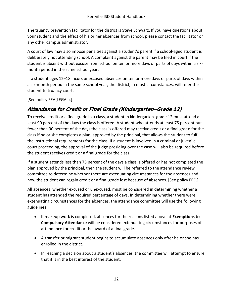The truancy prevention facilitator for the district is Steve Schwarz. If you have questions about your student and the effect of his or her absences from school, please contact the facilitator or any other campus administrator.

A court of law may also impose penalties against a student's parent if a school-aged student is deliberately not attending school. A complaint against the parent may be filed in court if the student is absent without excuse from school on ten or more days or parts of days within a sixmonth period in the same school year.

If a student ages 12–18 incurs unexcused absences on ten or more days or parts of days within a six-month period in the same school year, the district, in most circumstances, will refer the student to truancy court.

[See policy FEA(LEGAL).]

#### <span id="page-31-0"></span>**Attendance for Credit or Final Grade (Kindergarten–Grade 12)**

To receive credit or a final grade in a class, a student in kindergarten–grade 12 must attend at least 90 percent of the days the class is offered. A student who attends at least 75 percent but fewer than 90 percent of the days the class is offered may receive credit or a final grade for the class if he or she completes a plan, approved by the principal, that allows the student to fulfill the instructional requirements for the class. If a student is involved in a criminal or juvenile court proceeding, the approval of the judge presiding over the case will also be required before the student receives credit or a final grade for the class.

If a student attends less than 75 percent of the days a class is offered or has not completed the plan approved by the principal, then the student will be referred to the attendance review committee to determine whether there are extenuating circumstances for the absences and how the student can regain credit or a final grade lost because of absences. [See policy FEC.]

All absences, whether excused or unexcused, must be considered in determining whether a student has attended the required percentage of days. In determining whether there were extenuating circumstances for the absences, the attendance committee will use the following guidelines:

- If makeup work is completed, absences for the reasons listed above at **Exemptions to Compulsory Attendance** will be considered extenuating circumstances for purposes of attendance for credit or the award of a final grade.
- A transfer or migrant student begins to accumulate absences only after he or she has enrolled in the district.
- In reaching a decision about a student's absences, the committee will attempt to ensure that it is in the best interest of the student.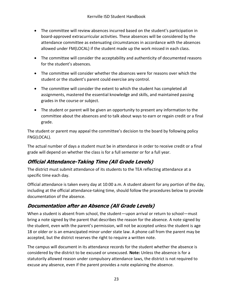- The committee will review absences incurred based on the student's participation in board-approved extracurricular activities. These absences will be considered by the attendance committee as extenuating circumstances in accordance with the absences allowed under FM(LOCAL) if the student made up the work missed in each class.
- The committee will consider the acceptability and authenticity of documented reasons for the student's absences.
- The committee will consider whether the absences were for reasons over which the student or the student's parent could exercise any control.
- The committee will consider the extent to which the student has completed all assignments, mastered the essential knowledge and skills, and maintained passing grades in the course or subject.
- The student or parent will be given an opportunity to present any information to the committee about the absences and to talk about ways to earn or regain credit or a final grade.

The student or parent may appeal the committee's decision to the board by following policy FNG(LOCAL).

The actual number of days a student must be in attendance in order to receive credit or a final grade will depend on whether the class is for a full semester or for a full year.

# <span id="page-32-0"></span>**Official Attendance-Taking Time (All Grade Levels)**

The district must submit attendance of its students to the TEA reflecting attendance at a specific time each day.

Official attendance is taken every day at 10:00 a.m. A student absent for any portion of the day, including at the official attendance-taking time, should follow the procedures below to provide documentation of the absence.

# <span id="page-32-1"></span>**Documentation after an Absence (All Grade Levels)**

When a student is absent from school, the student—upon arrival or return to school—must bring a note signed by the parent that describes the reason for the absence. A note signed by the student, even with the parent's permission, will not be accepted unless the student is age 18 or older or is an emancipated minor under state law. A phone call from the parent may be accepted, but the district reserves the right to require a written note.

The campus will document in its attendance records for the student whether the absence is considered by the district to be excused or unexcused. **Note:** Unless the absence is for a statutorily allowed reason under compulsory attendance laws, the district is not required to excuse any absence, even if the parent provides a note explaining the absence.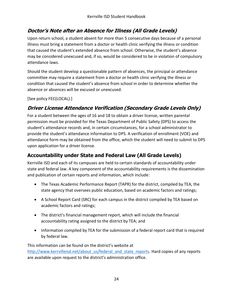#### <span id="page-33-0"></span>**Doctor's Note after an Absence for Illness (All Grade Levels)**

Upon return school, a student absent for more than 5 consecutive days because of a personal illness must bring a statement from a doctor or health clinic verifying the illness or condition that caused the student's extended absence from school. Otherwise, the student's absence may be considered unexcused and, if so, would be considered to be in violation of compulsory attendance laws.

Should the student develop a questionable pattern of absences, the principal or attendance committee may require a statement from a doctor or health clinic verifying the illness or condition that caused the student's absence from school in order to determine whether the absence or absences will be excused or unexcused.

[See policy FEC(LOCAL).]

#### <span id="page-33-1"></span>**Driver License Attendance Verification (Secondary Grade Levels Only)**

For a student between the ages of 16 and 18 to obtain a driver license, written parental permission must be provided for the Texas Department of Public Safety (DPS) to access the student's attendance records and, in certain circumstances, for a school administrator to provide the student's attendance information to DPS. A verification of enrollment (VOE) and attendance form may be obtained from the office, which the student will need to submit to DPS upon application for a driver license.

#### <span id="page-33-2"></span>**Accountability under State and Federal Law (All Grade Levels)**

Kerrville ISD and each of its campuses are held to certain standards of accountability under state and federal law. A key component of the accountability requirements is the dissemination and publication of certain reports and information, which include:

- The Texas Academic Performance Report (TAPR) for the district, compiled by TEA, the state agency that oversees public education, based on academic factors and ratings;
- A School Report Card (SRC) for each campus in the district compiled by TEA based on academic factors and ratings;
- The district's financial management report, which will include the financial accountability rating assigned to the district by TEA; and
- Information compiled by TEA for the submission of a federal report card that is required by federal law.

This information can be found on the district's website at [http://www.kerrvilleisd.net/about\\_us/federal\\_and\\_state\\_reports.](http://www.kerrvilleisd.net/about_us/federal_and_state_reports) Hard copies of any reports are available upon request to the district's administration office.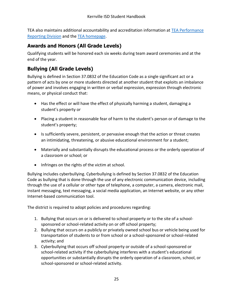TEA also maintains additional accountability and accreditation information at [TEA Performance](http://www.tea.texas.gov/perfreport/)  [Reporting Division](http://www.tea.texas.gov/perfreport/) and the [TEA homepage.](http://www.tea.texas.gov/)

#### <span id="page-34-0"></span>**Awards and Honors (All Grade Levels)**

Qualifying students will be honored each six weeks during team award ceremonies and at the end of the year.

# <span id="page-34-1"></span>**Bullying (All Grade Levels)**

Bullying is defined in Section 37.0832 of the Education Code as a single significant act or a pattern of acts by one or more students directed at another student that exploits an imbalance of power and involves engaging in written or verbal expression, expression through electronic means, or physical conduct that:

- Has the effect or will have the effect of physically harming a student, damaging a student's property or
- Placing a student in reasonable fear of harm to the student's person or of damage to the student's property;
- Is sufficiently severe, persistent, or pervasive enough that the action or threat creates an intimidating, threatening, or abusive educational environment for a student;
- Materially and substantially disrupts the educational process or the orderly operation of a classroom or school; or
- Infringes on the rights of the victim at school.

Bullying includes cyberbullying. Cyberbullying is defined by Section 37.0832 of the Education Code as bullying that is done through the use of any electronic communication device, including through the use of a cellular or other type of telephone, a computer, a camera, electronic mail, instant messaging, text messaging, a social media application, an Internet website, or any other Internet-based communication tool.

The district is required to adopt policies and procedures regarding:

- 1. Bullying that occurs on or is delivered to school property or to the site of a schoolsponsored or school-related activity on or off school property;
- 2. Bullying that occurs on a publicly or privately owned school bus or vehicle being used for transportation of students to or from school or a school-sponsored or school-related activity; and
- 3. Cyberbullying that occurs off school property or outside of a school-sponsored or school-related activity if the cyberbullying interferes with a student's educational opportunities or substantially disrupts the orderly operation of a classroom, school, or school-sponsored or school-related activity.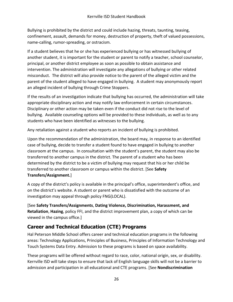Bullying is prohibited by the district and could include hazing, threats, taunting, teasing, confinement, assault, demands for money, destruction of property, theft of valued possessions, name-calling, rumor-spreading, or ostracism.

If a student believes that he or she has experienced bullying or has witnessed bullying of another student, it is important for the student or parent to notify a teacher, school counselor, principal, or another district employee as soon as possible to obtain assistance and intervention. The administration will investigate any allegations of bullying or other related misconduct. The district will also provide notice to the parent of the alleged victim and the parent of the student alleged to have engaged in bullying. A student may anonymously report an alleged incident of bullying through Crime Stoppers.

If the results of an investigation indicate that bullying has occurred, the administration will take appropriate disciplinary action and may notify law enforcement in certain circumstances. Disciplinary or other action may be taken even if the conduct did not rise to the level of bullying. Available counseling options will be provided to these individuals, as well as to any students who have been identified as witnesses to the bullying.

Any retaliation against a student who reports an incident of bullying is prohibited.

Upon the recommendation of the administration, the board may, in response to an identified case of bullying, decide to transfer a student found to have engaged in bullying to another classroom at the campus. In consultation with the student's parent, the student may also be transferred to another campus in the district. The parent of a student who has been determined by the district to be a victim of bullying may request that his or her child be transferred to another classroom or campus within the district. [See **Safety Transfers/Assignment.**]

A copy of the district's policy is available in the principal's office, superintendent's office, and on the district's website. A student or parent who is dissatisfied with the outcome of an investigation may appeal through policy FNG(LOCAL).

[See **Safety Transfers/Assignments**, **Dating Violence, Discrimination, Harassment, and Retaliation**, **Hazing**, policy FFI, and the district improvement plan, a copy of which can be viewed in the campus office.]

# <span id="page-35-0"></span>**Career and Technical Education (CTE) Programs**

Hal Peterson Middle School offers career and technical education programs in the following areas: Technology Applications, Principles of Business, Principles of Information Technology and Touch Systems Data Entry. Admission to these programs is based on space availability.

These programs will be offered without regard to race, color, national origin, sex, or disability. Kerrville ISD will take steps to ensure that lack of English language skills will not be a barrier to admission and participation in all educational and CTE programs. [See **Nondiscrimination**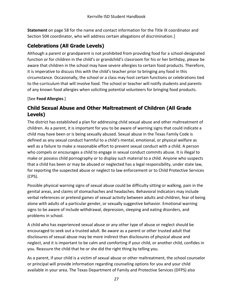**Statement** [on page 58](#page-67-0) for the name and contact information for the Title IX coordinator and Section 504 coordinator, who will address certain allegations of discrimination.]

# <span id="page-36-0"></span>**Celebrations (All Grade Levels)**

Although a parent or grandparent is not prohibited from providing food for a school-designated function or for children in the child's or grandchild's classroom for his or her birthday, please be aware that children in the school may have severe allergies to certain food products. Therefore, it is imperative to discuss this with the child's teacher prior to bringing any food in this circumstance. Occasionally, the school or a class may host certain functions or celebrations tied to the curriculum that will involve food. The school or teacher will notify students and parents of any known food allergies when soliciting potential volunteers for bringing food products.

[See **Food Allergies**.]

### **Child Sexual Abuse and Other Maltreatment of Children (All Grade Levels)**

The district has established a plan for addressing child sexual abuse and other maltreatment of children. As a parent, it is important for you to be aware of warning signs that could indicate a child may have been or is being sexually abused. Sexual abuse in the Texas Family Code is defined as any sexual conduct harmful to a child's mental, emotional, or physical welfare as well as a failure to make a reasonable effort to prevent sexual conduct with a child. A person who compels or encourages a child to engage in sexual conduct commits abuse. It is illegal to make or possess child pornography or to display such material to a child. Anyone who suspects that a child has been or may be abused or neglected has a legal responsibility, under state law, for reporting the suspected abuse or neglect to law enforcement or to Child Protective Services (CPS).

Possible physical warning signs of sexual abuse could be difficulty sitting or walking, pain in the genital areas, and claims of stomachaches and headaches. Behavioral indicators may include verbal references or pretend games of sexual activity between adults and children, fear of being alone with adults of a particular gender, or sexually suggestive behavior. Emotional warning signs to be aware of include withdrawal, depression, sleeping and eating disorders, and problems in school.

A child who has experienced sexual abuse or any other type of abuse or neglect should be encouraged to seek out a trusted adult. Be aware as a parent or other trusted adult that disclosures of sexual abuse may be more indirect than disclosures of physical abuse and neglect, and it is important to be calm and comforting if your child, or another child, confides in you. Reassure the child that he or she did the right thing by telling you.

As a parent, if your child is a victim of sexual abuse or other maltreatment, the school counselor or principal will provide information regarding counseling options for you and your child available in your area. The Texas Department of Family and Protective Services (DFPS) also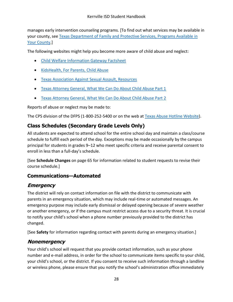manages early intervention counseling programs. [To find out what services may be available in your county, see Texas Department of Family and [Protective Services, Programs Available in](http://www.dfps.state.tx.us/Prevention_and_Early_Intervention/Programs_Available_In_Your_County/default.asp)  [Your County.](http://www.dfps.state.tx.us/Prevention_and_Early_Intervention/Programs_Available_In_Your_County/default.asp)]

The following websites might help you become more aware of child abuse and neglect:

- [Child Welfare Information Gateway Factsheet](https://www.childwelfare.gov/pubs/factsheets/whatiscan.pdf)
- [KidsHealth, For Parents, Child Abuse](http://kidshealth.org/en/parents/child-abuse.html)
- [Texas Association Against Sexual Assault, Resources](http://taasa.org/resources)
- [Texas Attorney General, What We Can Do About Child Abuse Part 1](https://www.texasattorneygeneral.gov/cvs/what-we-can-do-about-child-abuse-1)
- [Texas Attorney General, What We Can Do About Child Abuse Part 2](https://www.texasattorneygeneral.gov/cvs/what-we-can-do-about-child-abuse-2)

Reports of abuse or neglect may be made to:

The CPS division of the DFPS (1-800-252-5400 or on the web a[t Texas Abuse Hotline Website\)](http://www.txabusehotline.org/).

# **Class Schedules (Secondary Grade Levels Only)**

All students are expected to attend school for the entire school day and maintain a class/course schedule to fulfill each period of the day. Exceptions may be made occasionally by the campus principal for students in grades 9–12 who meet specific criteria and receive parental consent to enroll in less than a full-day's schedule.

[See **Schedule Changes** [on page 65](#page-74-0) for information related to student requests to revise their course schedule.]

# **Communications—Automated**

# **Emergency**

The district will rely on contact information on file with the district to communicate with parents in an emergency situation, which may include real-time or automated messages. An emergency purpose may include early dismissal or delayed opening because of severe weather or another emergency, or if the campus must restrict access due to a security threat. It is crucial to notify your child's school when a phone number previously provided to the district has changed.

[See **Safety** for information regarding contact with parents during an emergency situation.]

# **Nonemergency**

Your child's school will request that you provide contact information, such as your phone number and e-mail address, in order for the school to communicate items specific to your child, your child's school, or the district. If you consent to receive such information through a landline or wireless phone, please ensure that you notify the school's administration office immediately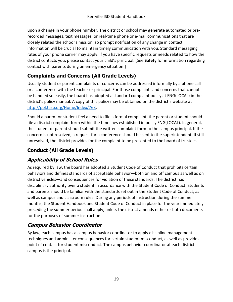upon a change in your phone number. The district or school may generate automated or prerecorded messages, text messages, or real-time phone or e-mail communications that are closely related the school's mission, so prompt notification of any change in contact information will be crucial to maintain timely communication with you. Standard messaging rates of your phone carrier may apply. If you have specific requests or needs related to how the district contacts you, please contact your child's principal. [See **Safety** for information regarding contact with parents during an emergency situation.]

# **Complaints and Concerns (All Grade Levels)**

Usually student or parent complaints or concerns can be addressed informally by a phone call or a conference with the teacher or principal. For those complaints and concerns that cannot be handled so easily, the board has adopted a standard complaint policy at FNG(LOCAL) in the district's policy manual. A copy of this policy may be obtained on the district's website at [http://pol.tasb.org/Home/Index/768.](http://pol.tasb.org/Home/Index/768)

Should a parent or student feel a need to file a formal complaint, the parent or student should file a district complaint form within the timelines established in policy FNG(LOCAL). In general, the student or parent should submit the written complaint form to the campus principal. If the concern is not resolved, a request for a conference should be sent to the superintendent. If still unresolved, the district provides for the complaint to be presented to the board of trustees.

# **Conduct (All Grade Levels)**

# **Applicability of School Rules**

As required by law, the board has adopted a Student Code of Conduct that prohibits certain behaviors and defines standards of acceptable behavior—both on and off campus as well as on district vehicles—and consequences for violation of these standards. The district has disciplinary authority over a student in accordance with the Student Code of Conduct. Students and parents should be familiar with the standards set out in the Student Code of Conduct, as well as campus and classroom rules. During any periods of instruction during the summer months, the Student Handbook and Student Code of Conduct in place for the year immediately preceding the summer period shall apply, unless the district amends either or both documents for the purposes of summer instruction.

# **Campus Behavior Coordinator**

By law, each campus has a campus behavior coordinator to apply discipline management techniques and administer consequences for certain student misconduct, as well as provide a point of contact for student misconduct. The campus behavior coordinator at each district campus is the principal.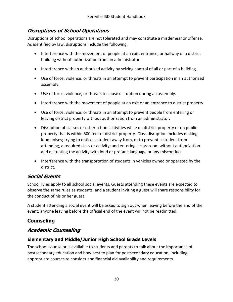## **Disruptions of School Operations**

Disruptions of school operations are not tolerated and may constitute a misdemeanor offense. As identified by law, disruptions include the following:

- Interference with the movement of people at an exit, entrance, or hallway of a district building without authorization from an administrator.
- Interference with an authorized activity by seizing control of all or part of a building.
- Use of force, violence, or threats in an attempt to prevent participation in an authorized assembly.
- Use of force, violence, or threats to cause disruption during an assembly.
- Interference with the movement of people at an exit or an entrance to district property.
- Use of force, violence, or threats in an attempt to prevent people from entering or leaving district property without authorization from an administrator.
- Disruption of classes or other school activities while on district property or on public property that is within 500 feet of district property. Class disruption includes making loud noises; trying to entice a student away from, or to prevent a student from attending, a required class or activity; and entering a classroom without authorization and disrupting the activity with loud or profane language or any misconduct.
- Interference with the transportation of students in vehicles owned or operated by the district.

## **Social Events**

School rules apply to all school social events. Guests attending these events are expected to observe the same rules as students, and a student inviting a guest will share responsibility for the conduct of his or her guest.

A student attending a social event will be asked to sign out when leaving before the end of the event; anyone leaving before the official end of the event will not be readmitted.

## **Counseling**

#### **Academic Counseling**

#### **Elementary and Middle/Junior High School Grade Levels**

The school counselor is available to students and parents to talk about the importance of postsecondary education and how best to plan for postsecondary education, including appropriate courses to consider and financial aid availability and requirements.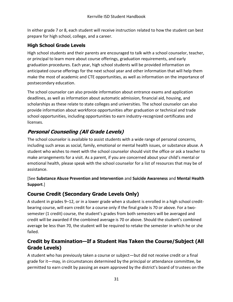In either grade 7 or 8, each student will receive instruction related to how the student can best prepare for high school, college, and a career.

#### **High School Grade Levels**

High school students and their parents are encouraged to talk with a school counselor, teacher, or principal to learn more about course offerings, graduation requirements, and early graduation procedures. Each year, high school students will be provided information on anticipated course offerings for the next school year and other information that will help them make the most of academic and CTE opportunities, as well as information on the importance of postsecondary education.

The school counselor can also provide information about entrance exams and application deadlines, as well as information about automatic admission, financial aid, housing, and scholarships as these relate to state colleges and universities. The school counselor can also provide information about workforce opportunities after graduation or technical and trade school opportunities, including opportunities to earn industry-recognized certificates and licenses.

# **Personal Counseling (All Grade Levels)**

The school counselor is available to assist students with a wide range of personal concerns, including such areas as social, family, emotional or mental health issues, or substance abuse. A student who wishes to meet with the school counselor should visit the office or ask a teacher to make arrangements for a visit. As a parent, if you are concerned about your child's mental or emotional health, please speak with the school counselor for a list of resources that may be of assistance.

#### [See **Substance Abuse Prevention and Intervention** and **Suicide Awareness** and **Mental Health Support**.]

## **Course Credit (Secondary Grade Levels Only)**

A student in grades 9–12, or in a lower grade when a student is enrolled in a high school creditbearing course, will earn credit for a course only if the final grade is 70 or above. For a twosemester (1 credit) course, the student's grades from both semesters will be averaged and credit will be awarded if the combined average is 70 or above. Should the student's combined average be less than 70, the student will be required to retake the semester in which he or she failed.

## **Credit by Examination—If a Student Has Taken the Course/Subject (All Grade Levels)**

A student who has previously taken a course or subject—but did not receive credit or a final grade for it—may, in circumstances determined by the principal or attendance committee, be permitted to earn credit by passing an exam approved by the district's board of trustees on the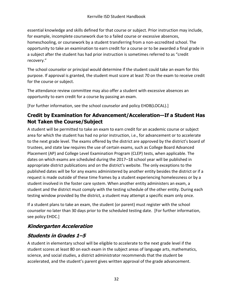essential knowledge and skills defined for that course or subject. Prior instruction may include, for example, incomplete coursework due to a failed course or excessive absences, homeschooling, or coursework by a student transferring from a non-accredited school. The opportunity to take an examination to earn credit for a course or to be awarded a final grade in a subject after the student has had prior instruction is sometimes referred to as "credit recovery."

The school counselor or principal would determine if the student could take an exam for this purpose. If approval is granted, the student must score at least 70 on the exam to receive credit for the course or subject.

The attendance review committee may also offer a student with excessive absences an opportunity to earn credit for a course by passing an exam.

[For further information, see the school counselor and policy EHDB(LOCAL).]

#### **Credit by Examination for Advancement/Acceleration—If a Student Has Not Taken the Course/Subject**

A student will be permitted to take an exam to earn credit for an academic course or subject area for which the student has had no prior instruction, i.e., for advancement or to accelerate to the next grade level. The exams offered by the district are approved by the district's board of trustees, and state law requires the use of certain exams, such as College Board Advanced Placement (AP) and College Level Examination Program (CLEP) tests, when applicable. The dates on which exams are scheduled during the 2017–18 school year will be published in appropriate district publications and on the district's website. The only exceptions to the published dates will be for any exams administered by another entity besides the district or if a request is made outside of these time frames by a student experiencing homelessness or by a student involved in the foster care system. When another entity administers an exam, a student and the district must comply with the testing schedule of the other entity. During each testing window provided by the district, a student may attempt a specific exam only once.

If a student plans to take an exam, the student (or parent) must register with the school counselor no later than 30 days prior to the scheduled testing date. [For further information, see policy EHDC.]

## **Kindergarten Acceleration**

#### **Students in Grades 1–5**

A student in elementary school will be eligible to accelerate to the next grade level if the student scores at least 80 on each exam in the subject areas of language arts, mathematics, science, and social studies, a district administrator recommends that the student be accelerated, and the student's parent gives written approval of the grade advancement.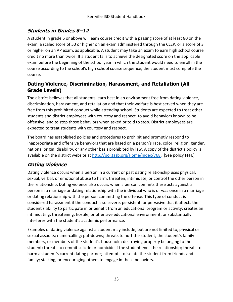## **Students in Grades 6–12**

A student in grade 6 or above will earn course credit with a passing score of at least 80 on the exam, a scaled score of 50 or higher on an exam administered through the CLEP, or a score of 3 or higher on an AP exam, as applicable. A student may take an exam to earn high school course credit no more than twice. If a student fails to achieve the designated score on the applicable exam before the beginning of the school year in which the student would need to enroll in the course according to the school's high school course sequence, the student must complete the course.

#### **Dating Violence, Discrimination, Harassment, and Retaliation (All Grade Levels)**

The district believes that all students learn best in an environment free from dating violence, discrimination, harassment, and retaliation and that their welfare is best served when they are free from this prohibited conduct while attending school. Students are expected to treat other students and district employees with courtesy and respect, to avoid behaviors known to be offensive, and to stop those behaviors when asked or told to stop. District employees are expected to treat students with courtesy and respect.

The board has established policies and procedures to prohibit and promptly respond to inappropriate and offensive behaviors that are based on a person's race, color, religion, gender, national origin, disability, or any other basis prohibited by law. A copy of the district's policy is available on the district website at [http://pol.tasb.org/Home/Index/768.](http://pol.tasb.org/Home/Index/768) [See policy FFH.]

# **Dating Violence**

Dating violence occurs when a person in a current or past dating relationship uses physical, sexual, verbal, or emotional abuse to harm, threaten, intimidate, or control the other person in the relationship. Dating violence also occurs when a person commits these acts against a person in a marriage or dating relationship with the individual who is or was once in a marriage or dating relationship with the person committing the offense. This type of conduct is considered harassment if the conduct is so severe, persistent, or pervasive that it affects the student's ability to participate in or benefit from an educational program or activity; creates an intimidating, threatening, hostile, or offensive educational environment; or substantially interferes with the student's academic performance.

Examples of dating violence against a student may include, but are not limited to, physical or sexual assaults; name-calling; put-downs; threats to hurt the student, the student's family members, or members of the student's household; destroying property belonging to the student; threats to commit suicide or homicide if the student ends the relationship; threats to harm a student's current dating partner; attempts to isolate the student from friends and family; stalking; or encouraging others to engage in these behaviors.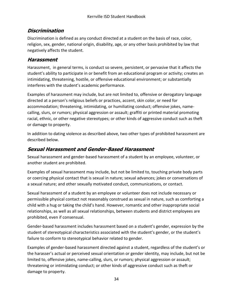#### **Discrimination**

Discrimination is defined as any conduct directed at a student on the basis of race, color, religion, sex, gender, national origin, disability, age, or any other basis prohibited by law that negatively affects the student.

#### **Harassment**

Harassment, in general terms, is conduct so severe, persistent, or pervasive that it affects the student's ability to participate in or benefit from an educational program or activity; creates an intimidating, threatening, hostile, or offensive educational environment; or substantially interferes with the student's academic performance.

Examples of harassment may include, but are not limited to, offensive or derogatory language directed at a person's religious beliefs or practices, accent, skin color, or need for accommodation; threatening, intimidating, or humiliating conduct; offensive jokes, namecalling, slurs, or rumors; physical aggression or assault; graffiti or printed material promoting racial, ethnic, or other negative stereotypes; or other kinds of aggressive conduct such as theft or damage to property.

In addition to dating violence as described above, two other types of prohibited harassment are described below.

### **Sexual Harassment and Gender-Based Harassment**

Sexual harassment and gender-based harassment of a student by an employee, volunteer, or another student are prohibited.

Examples of sexual harassment may include, but not be limited to, touching private body parts or coercing physical contact that is sexual in nature; sexual advances; jokes or conversations of a sexual nature; and other sexually motivated conduct, communications, or contact.

Sexual harassment of a student by an employee or volunteer does not include necessary or permissible physical contact not reasonably construed as sexual in nature, such as comforting a child with a hug or taking the child's hand. However, romantic and other inappropriate social relationships, as well as all sexual relationships, between students and district employees are prohibited, even if consensual.

Gender-based harassment includes harassment based on a student's gender, expression by the student of stereotypical characteristics associated with the student's gender, or the student's failure to conform to stereotypical behavior related to gender.

Examples of gender-based harassment directed against a student, regardless of the student's or the harasser's actual or perceived sexual orientation or gender identity, may include, but not be limited to, offensive jokes, name-calling, slurs, or rumors; physical aggression or assault; threatening or intimidating conduct; or other kinds of aggressive conduct such as theft or damage to property.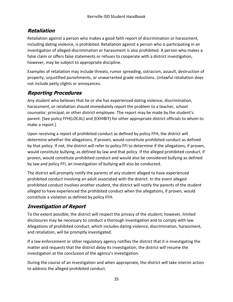## **Retaliation**

Retaliation against a person who makes a good faith report of discrimination or harassment, including dating violence, is prohibited. Retaliation against a person who is participating in an investigation of alleged discrimination or harassment is also prohibited. A person who makes a false claim or offers false statements or refuses to cooperate with a district investigation, however, may be subject to appropriate discipline.

Examples of retaliation may include threats, rumor spreading, ostracism, assault, destruction of property, unjustified punishments, or unwarranted grade reductions. Unlawful retaliation does not include petty slights or annoyances.

# **Reporting Procedures**

Any student who believes that he or she has experienced dating violence, discrimination, harassment, or retaliation should immediately report the problem to a teacher, school counselor, principal, or other district employee. The report may be made by the student's parent. [See policy FFH(LOCAL) and (EXHIBIT) for other appropriate district officials to whom to make a report.]

Upon receiving a report of prohibited conduct as defined by policy FFH, the district will determine whether the allegations, if proven, would constitute prohibited conduct as defined by that policy. If not, the district will refer to policy FFI to determine if the allegations, if proven, would constitute bullying, as defined by law and that policy. If the alleged prohibited conduct, if proven, would constitute prohibited conduct and would also be considered bullying as defined by law and policy FFI, an investigation of bullying will also be conducted.

The district will promptly notify the parents of any student alleged to have experienced prohibited conduct involving an adult associated with the district. In the event alleged prohibited conduct involves another student, the district will notify the parents of the student alleged to have experienced the prohibited conduct when the allegations, if proven, would constitute a violation as defined by policy FFH.

# **Investigation of Report**

To the extent possible, the district will respect the privacy of the student; however, limited disclosures may be necessary to conduct a thorough investigation and to comply with law. Allegations of prohibited conduct, which includes dating violence, discrimination, harassment, and retaliation, will be promptly investigated.

If a law enforcement or other regulatory agency notifies the district that it is investigating the matter and requests that the district delay its investigation, the district will resume the investigation at the conclusion of the agency's investigation.

During the course of an investigation and when appropriate, the district will take interim action to address the alleged prohibited conduct.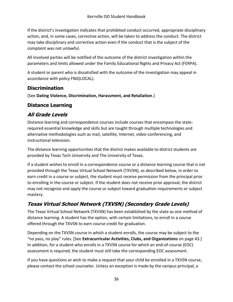If the district's investigation indicates that prohibited conduct occurred, appropriate disciplinary action, and, in some cases, corrective action, will be taken to address the conduct. The district may take disciplinary and corrective action even if the conduct that is the subject of the complaint was not unlawful.

All involved parties will be notified of the outcome of the district investigation within the parameters and limits allowed under the Family Educational Rights and Privacy Act (FERPA).

A student or parent who is dissatisfied with the outcome of the investigation may appeal in accordance with policy FNG(LOCAL).

## **Discrimination**

[See **Dating Violence, Discrimination, Harassment, and Retaliation**.]

#### **Distance Learning**

# **All Grade Levels**

Distance learning and correspondence courses include courses that encompass the staterequired essential knowledge and skills but are taught through multiple technologies and alternative methodologies such as mail, satellite, Internet, video-conferencing, and instructional television.

The distance learning opportunities that the district makes available to district students are provided by Texas Tech University and The University of Texas.

If a student wishes to enroll in a correspondence course or a distance learning course that is not provided through the Texas Virtual School Network (TXVSN), as described below, in order to earn credit in a course or subject, the student must receive permission from the principal prior to enrolling in the course or subject. If the student does not receive prior approval, the district may not recognize and apply the course or subject toward graduation requirements or subject mastery.

# **Texas Virtual School Network (TXVSN) (Secondary Grade Levels)**

The Texas Virtual School Network (TXVSN) has been established by the state as one method of distance learning. A student has the option, with certain limitations, to enroll in a course offered through the TXVSN to earn course credit for graduation.

Depending on the TXVSN course in which a student enrolls, the course may be subject to the "no pass, no play" rules. [See **Extracurricular Activities, Clubs, and Organizations** [on page 43.](#page-52-0)] In addition, for a student who enrolls in a TXVSN course for which an end-of-course (EOC) assessment is required, the student must still take the corresponding EOC assessment.

If you have questions or wish to make a request that your child be enrolled in a TXVSN course, please contact the school counselor. Unless an exception is made by the campus principal, a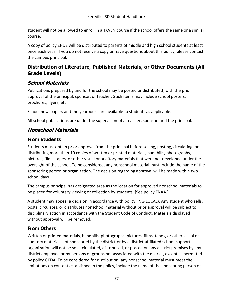student will not be allowed to enroll in a TXVSN course if the school offers the same or a similar course.

A copy of policy EHDE will be distributed to parents of middle and high school students at least once each year. If you do not receive a copy or have questions about this policy, please contact the campus principal.

## **Distribution of Literature, Published Materials, or Other Documents (All Grade Levels)**

## **School Materials**

Publications prepared by and for the school may be posted or distributed, with the prior approval of the principal, sponsor, or teacher. Such items may include school posters, brochures, flyers, etc.

School newspapers and the yearbooks are available to students as applicable.

All school publications are under the supervision of a teacher, sponsor, and the principal.

## **Nonschool Materials**

#### **From Students**

Students must obtain prior approval from the principal before selling, posting, circulating, or distributing more than 10 copies of written or printed materials, handbills, photographs, pictures, films, tapes, or other visual or auditory materials that were not developed under the oversight of the school. To be considered, any nonschool material must include the name of the sponsoring person or organization. The decision regarding approval will be made within two school days.

The campus principal has designated area as the location for approved nonschool materials to be placed for voluntary viewing or collection by students. [See policy FNAA.]

A student may appeal a decision in accordance with policy FNG(LOCAL). Any student who sells, posts, circulates, or distributes nonschool material without prior approval will be subject to disciplinary action in accordance with the Student Code of Conduct. Materials displayed without approval will be removed.

#### **From Others**

Written or printed materials, handbills, photographs, pictures, films, tapes, or other visual or auditory materials not sponsored by the district or by a district-affiliated school-support organization will not be sold, circulated, distributed, or posted on any district premises by any district employee or by persons or groups not associated with the district, except as permitted by policy GKDA. To be considered for distribution, any nonschool material must meet the limitations on content established in the policy, include the name of the sponsoring person or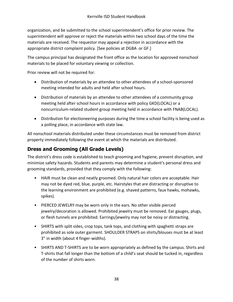organization, and be submitted to the school superintendent's office for prior review. The superintendent will approve or reject the materials within two school days of the time the materials are received. The requestor may appeal a rejection in accordance with the appropriate district complaint policy. [See policies at DGBA or GF.]

The campus principal has designated the front office as the location for approved nonschool materials to be placed for voluntary viewing or collection.

Prior review will not be required for:

- Distribution of materials by an attendee to other attendees of a school-sponsored meeting intended for adults and held after school hours.
- Distribution of materials by an attendee to other attendees of a community group meeting held after school hours in accordance with policy GKD(LOCAL) or a noncurriculum-related student group meeting held in accordance with FNAB(LOCAL).
- Distribution for electioneering purposes during the time a school facility is being used as a polling place, in accordance with state law.

All nonschool materials distributed under these circumstances must be removed from district property immediately following the event at which the materials are distributed.

## **Dress and Grooming (All Grade Levels)**

The district's dress code is established to teach grooming and hygiene, prevent disruption, and minimize safety hazards. Students and parents may determine a student's personal dress and grooming standards, provided that they comply with the following:

- HAIR must be clean and neatly groomed. Only natural hair colors are acceptable. Hair may not be dyed red, blue, purple, etc. Hairstyles that are distracting or disruptive to the learning environment are prohibited (e.g. shaved patterns, faux hawks, mohawks, spikes).
- PIERCED JEWELRY may be worn only in the ears. No other visible pierced jewelry/decoration is allowed. Prohibited jewelry must be removed. Ear gauges, plugs, or flesh tunnels are prohibited. Earrings/jewelry may not be noisy or distracting.
- SHIRTS with split sides, crop tops, tank tops, and clothing with spaghetti straps are prohibited as sole outer garment. SHOULDER STRAPS on shirts/blouses must be at least 3" in width (about 4 finger-widths).
- SHIRTS AND T-SHIRTS are to be worn appropriately as defined by the campus. Shirts and T-shirts that fall longer than the bottom of a child's seat should be tucked in, regardless of the number of shirts worn.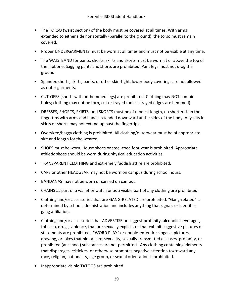- The TORSO (waist section) of the body must be covered at all times. With arms extended to either side horizontally (parallel to the ground), the torso must remain covered.
- Proper UNDERGARMENTS must be worn at all times and must not be visible at any time.
- The WAISTBAND for pants, shorts, skirts and skorts must be worn at or above the top of the hipbone. Sagging pants and shorts are prohibited. Pant legs must not drag the ground.
- Spandex shorts, skirts, pants, or other skin-tight, lower body coverings are not allowed as outer garments.
- CUT-OFFS (shorts with un-hemmed legs) are prohibited. Clothing may NOT contain holes; clothing may not be torn, cut or frayed (unless frayed edges are hemmed).
- DRESSES, SHORTS, SKIRTS, and SKORTS must be of modest length, no shorter than the fingertips with arms and hands extended downward at the sides of the body. Any slits in skirts or shorts may not extend up past the fingertips.
- Oversized/baggy clothing is prohibited. All clothing/outerwear must be of appropriate size and length for the wearer.
- SHOES must be worn. House shoes or steel-toed footwear is prohibited. Appropriate athletic shoes should be worn during physical education activities.
- TRANSPARENT CLOTHING and extremely faddish attire are prohibited.
- CAPS or other HEADGEAR may not be worn on campus during school hours.
- BANDANAS may not be worn or carried on campus.
- CHAINS as part of a wallet or watch or as a visible part of any clothing are prohibited.
- Clothing and/or accessories that are GANG-RELATED are prohibited. "Gang-related" is determined by school administration and includes anything that signals or identifies gang affiliation.
- Clothing and/or accessories that ADVERTISE or suggest profanity, alcoholic beverages, tobacco, drugs, violence, that are sexually explicit, or that exhibit suggestive pictures or statements are prohibited. "WORD PLAY" or double-entendre slogans, pictures, drawing, or jokes that hint at sex, sexuality, sexually transmitted diseases, profanity, or prohibited (at school) substances are not permitted. Any clothing containing elements that disparages, criticizes, or otherwise promotes negative attention to/toward any race, religion, nationality, age group, or sexual orientation is prohibited.
- Inappropriate visible TATOOS are prohibited.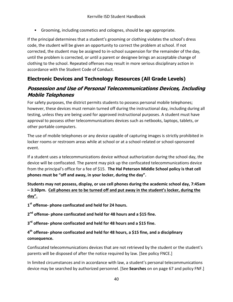• Grooming, including cosmetics and colognes, should be age appropriate.

If the principal determines that a student's grooming or clothing violates the school's dress code, the student will be given an opportunity to correct the problem at school. If not corrected, the student may be assigned to in-school suspension for the remainder of the day, until the problem is corrected, or until a parent or designee brings an acceptable change of clothing to the school. Repeated offenses may result in more serious disciplinary action in accordance with the Student Code of Conduct.

## **Electronic Devices and Technology Resources (All Grade Levels)**

#### **Possession and Use of Personal Telecommunications Devices, Including Mobile Telephones**

For safety purposes, the district permits students to possess personal mobile telephones; however, these devices must remain turned off during the instructional day, including during all testing, unless they are being used for approved instructional purposes. A student must have approval to possess other telecommunications devices such as netbooks, laptops, tablets, or other portable computers.

The use of mobile telephones or any device capable of capturing images is strictly prohibited in locker rooms or restroom areas while at school or at a school-related or school-sponsored event.

If a student uses a telecommunications device without authorization during the school day, the device will be confiscated. The parent may pick up the confiscated telecommunications device from the principal's office for a fee of \$15. **The Hal Peterson Middle School policy is that cell phones must be "off and away, in your locker, during the day".**

**Students may not possess, display, or use cell phones during the academic school day, 7:45am – 3:30pm. Cell phones are to be turned off and put away in the student's locker, during the day".**

**1 st offense- phone confiscated and held for 24 hours.**

**2 nd offense- phone confiscated and held for 48 hours and a \$15 fine.**

**3 rd offense- phone confiscated and held for 48 hours and a \$15 fine.**

#### **4 th offense- phone confiscated and held for 48 hours, a \$15 fine, and a disciplinary consequence.**

Confiscated telecommunications devices that are not retrieved by the student or the student's parents will be disposed of after the notice required by law. [See policy FNCE.]

In limited circumstances and in accordance with law, a student's personal telecommunications device may be searched by authorized personnel. [See **Searches** on [on page 67](#page-76-0) and policy FNF.]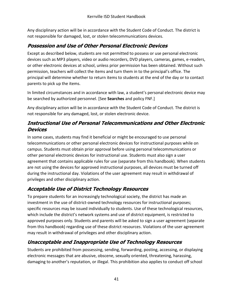Any disciplinary action will be in accordance with the Student Code of Conduct. The district is not responsible for damaged, lost, or stolen telecommunications devices.

### **Possession and Use of Other Personal Electronic Devices**

Except as described below, students are not permitted to possess or use personal electronic devices such as MP3 players, video or audio recorders, DVD players, cameras, games, e-readers, or other electronic devices at school, unless prior permission has been obtained. Without such permission, teachers will collect the items and turn them in to the principal's office. The principal will determine whether to return items to students at the end of the day or to contact parents to pick up the items.

In limited circumstances and in accordance with law, a student's personal electronic device may be searched by authorized personnel. [See **Searches** and policy FNF.]

Any disciplinary action will be in accordance with the Student Code of Conduct. The district is not responsible for any damaged, lost, or stolen electronic device.

#### **Instructional Use of Personal Telecommunications and Other Electronic Devices**

In some cases, students may find it beneficial or might be encouraged to use personal telecommunications or other personal electronic devices for instructional purposes while on campus. Students must obtain prior approval before using personal telecommunications or other personal electronic devices for instructional use. Students must also sign a user agreement that contains applicable rules for use (separate from this handbook). When students are not using the devices for approved instructional purposes, all devices must be turned off during the instructional day. Violations of the user agreement may result in withdrawal of privileges and other disciplinary action.

## **Acceptable Use of District Technology Resources**

To prepare students for an increasingly technological society, the district has made an investment in the use of district-owned technology resources for instructional purposes; specific resources may be issued individually to students. Use of these technological resources, which include the district's network systems and use of district equipment, is restricted to approved purposes only. Students and parents will be asked to sign a user agreement (separate from this handbook) regarding use of these district resources. Violations of the user agreement may result in withdrawal of privileges and other disciplinary action.

## **Unacceptable and Inappropriate Use of Technology Resources**

Students are prohibited from possessing, sending, forwarding, posting, accessing, or displaying electronic messages that are abusive, obscene, sexually oriented, threatening, harassing, damaging to another's reputation, or illegal. This prohibition also applies to conduct off school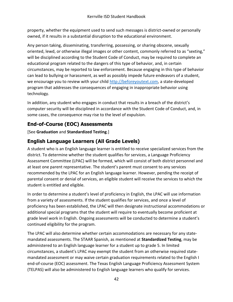property, whether the equipment used to send such messages is district-owned or personally owned, if it results in a substantial disruption to the educational environment.

Any person taking, disseminating, transferring, possessing, or sharing obscene, sexually oriented, lewd, or otherwise illegal images or other content, commonly referred to as "sexting," will be disciplined according to the Student Code of Conduct, may be required to complete an educational program related to the dangers of this type of behavior, and, in certain circumstances, may be reported to law enforcement. Because engaging in this type of behavior can lead to bullying or harassment, as well as possibly impede future endeavors of a student, we encourage you to review with your child [http://beforeyoutext.com,](http://beforeyoutext.com/) a state-developed program that addresses the consequences of engaging in inappropriate behavior using technology.

In addition, any student who engages in conduct that results in a breach of the district's computer security will be disciplined in accordance with the Student Code of Conduct, and, in some cases, the consequence may rise to the level of expulsion.

# **End-of-Course (EOC) Assessments**

[See **Graduation** and **Standardized Testing**.]

## **English Language Learners (All Grade Levels)**

A student who is an English language learner is entitled to receive specialized services from the district. To determine whether the student qualifies for services, a Language Proficiency Assessment Committee (LPAC) will be formed, which will consist of both district personnel and at least one parent representative. The student's parent must consent to any services recommended by the LPAC for an English language learner. However, pending the receipt of parental consent or denial of services, an eligible student will receive the services to which the student is entitled and eligible.

In order to determine a student's level of proficiency in English, the LPAC will use information from a variety of assessments. If the student qualifies for services, and once a level of proficiency has been established, the LPAC will then designate instructional accommodations or additional special programs that the student will require to eventually become proficient at grade level work in English. Ongoing assessments will be conducted to determine a student's continued eligibility for the program.

The LPAC will also determine whether certain accommodations are necessary for any statemandated assessments. The STAAR Spanish, as mentioned at **Standardized Testing**, may be administered to an English language learner for a student up to grade 5. In limited circumstances, a student's LPAC may exempt the student from an otherwise required statemandated assessment or may waive certain graduation requirements related to the English I end-of-course (EOC) assessment. The Texas English Language Proficiency Assessment System (TELPAS) will also be administered to English language learners who qualify for services.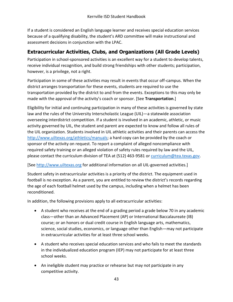If a student is considered an English language learner and receives special education services because of a qualifying disability, the student's ARD committee will make instructional and assessment decisions in conjunction with the LPAC.

### <span id="page-52-0"></span>**Extracurricular Activities, Clubs, and Organizations (All Grade Levels)**

Participation in school-sponsored activities is an excellent way for a student to develop talents, receive individual recognition, and build strong friendships with other students; participation, however, is a privilege, not a right.

Participation in some of these activities may result in events that occur off-campus. When the district arranges transportation for these events, students are required to use the transportation provided by the district to and from the events. Exceptions to this may only be made with the approval of the activity's coach or sponsor. [See **Transportation**.]

Eligibility for initial and continuing participation in many of these activities is governed by state law and the rules of the University Interscholastic League (UIL)—a statewide association overseeing interdistrict competition. If a student is involved in an academic, athletic, or music activity governed by UIL, the student and parent are expected to know and follow all rules of the UIL organization. Students involved in UIL athletic activities and their parents can access the [http://www.uiltexas.org/athletics/manuals;](http://www.uiltexas.org/athletics/manuals) a hard copy can be provided by the coach or sponsor of the activity on request. To report a complaint of alleged noncompliance with required safety training or an alleged violation of safety rules required by law and the UIL, please contact the curriculum division of TEA at (512) 463-9581 o[r curriculum@tea.texas.gov.](mailto:curriculum@tea.state.tx.us)

[See [http://www.uiltexas.org](http://www.uiltexas.org/) for additional information on all UIL-governed activities.]

Student safety in extracurricular activities is a priority of the district. The equipment used in football is no exception. As a parent, you are entitled to review the district's records regarding the age of each football helmet used by the campus, including when a helmet has been reconditioned.

In addition, the following provisions apply to all extracurricular activities:

- A student who receives at the end of a grading period a grade below 70 in any academic class—other than an Advanced Placement (AP) or International Baccalaureate (IB) course; or an honors or dual credit course in English language arts, mathematics, science, social studies, economics, or language other than English—may not participate in extracurricular activities for at least three school weeks.
- A student who receives special education services and who fails to meet the standards in the individualized education program (IEP) may not participate for at least three school weeks.
- An ineligible student may practice or rehearse but may not participate in any competitive activity.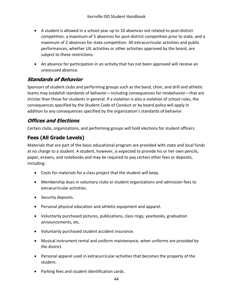- A student is allowed in a school year up to 10 absences not related to post-district competition, a maximum of 5 absences for post-district competition prior to state, and a maximum of 2 absences for state competition. All extracurricular activities and public performances, whether UIL activities or other activities approved by the board, are subject to these restrictions.
- An absence for participation in an activity that has not been approved will receive an unexcused absence.

# **Standards of Behavior**

Sponsors of student clubs and performing groups such as the band, choir, and drill and athletic teams may establish standards of behavior—including consequences for misbehavior—that are stricter than those for students in general. If a violation is also a violation of school rules, the consequences specified by the Student Code of Conduct or by board policy will apply in addition to any consequences specified by the organization's standards of behavior.

## **Offices and Elections**

Certain clubs, organizations, and performing groups will hold elections for student officers.

# **Fees (All Grade Levels)**

Materials that are part of the basic educational program are provided with state and local funds at no charge to a student. A student, however, is expected to provide his or her own pencils, paper, erasers, and notebooks and may be required to pay certain other fees or deposits, including:

- Costs for materials for a class project that the student will keep.
- Membership dues in voluntary clubs or student organizations and admission fees to extracurricular activities.
- Security deposits.
- Personal physical education and athletic equipment and apparel.
- Voluntarily purchased pictures, publications, class rings, yearbooks, graduation announcements, etc.
- Voluntarily purchased student accident insurance.
- Musical instrument rental and uniform maintenance, when uniforms are provided by the district.
- Personal apparel used in extracurricular activities that becomes the property of the student.
- Parking fees and student identification cards.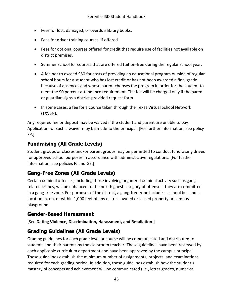- Fees for lost, damaged, or overdue library books.
- Fees for driver training courses, if offered.
- Fees for optional courses offered for credit that require use of facilities not available on district premises.
- Summer school for courses that are offered tuition-free during the regular school year.
- A fee not to exceed \$50 for costs of providing an educational program outside of regular school hours for a student who has lost credit or has not been awarded a final grade because of absences and whose parent chooses the program in order for the student to meet the 90 percent attendance requirement. The fee will be charged only if the parent or guardian signs a district-provided request form.
- In some cases, a fee for a course taken through the Texas Virtual School Network (TXVSN).

Any required fee or deposit may be waived if the student and parent are unable to pay. Application for such a waiver may be made to the principal. [For further information, see policy FP.]

#### **Fundraising (All Grade Levels)**

Student groups or classes and/or parent groups may be permitted to conduct fundraising drives for approved school purposes in accordance with administrative regulations. [For further information, see policies FJ and GE.]

#### **Gang-Free Zones (All Grade Levels)**

Certain criminal offenses, including those involving organized criminal activity such as gangrelated crimes, will be enhanced to the next highest category of offense if they are committed in a gang-free zone. For purposes of the district, a gang-free zone includes a school bus and a location in, on, or within 1,000 feet of any district-owned or leased property or campus playground.

#### **Gender-Based Harassment**

[See **Dating Violence, Discrimination, Harassment, and Retaliation**.]

#### **Grading Guidelines (All Grade Levels)**

Grading guidelines for each grade level or course will be communicated and distributed to students and their parents by the classroom teacher. These guidelines have been reviewed by each applicable curriculum department and have been approved by the campus principal. These guidelines establish the minimum number of assignments, projects, and examinations required for each grading period. In addition, these guidelines establish how the student's mastery of concepts and achievement will be communicated (i.e., letter grades, numerical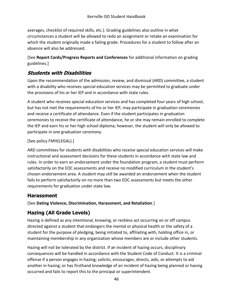averages, checklist of required skills, etc.). Grading guidelines also outline in what circumstances a student will be allowed to redo an assignment or retake an examination for which the student originally made a failing grade. Procedures for a student to follow after an absence will also be addressed.

[See **Report Cards/Progress Reports and Conferences** for additional information on grading guidelines.]

#### **Students with Disabilities**

Upon the recommendation of the admission, review, and dismissal (ARD) committee, a student with a disability who receives special education services may be permitted to graduate under the provisions of his or her IEP and in accordance with state rules.

A student who receives special education services and has completed four years of high school, but has not met the requirements of his or her IEP, may participate in graduation ceremonies and receive a certificate of attendance. Even if the student participates in graduation ceremonies to receive the certificate of attendance, he or she may remain enrolled to complete the IEP and earn his or her high school diploma; however, the student will only be allowed to participate in one graduation ceremony.

[See policy FMH(LEGAL).]

ARD committees for students with disabilities who receive special education services will make instructional and assessment decisions for these students in accordance with state law and rules. In order to earn an endorsement under the foundation program, a student must perform satisfactorily on the EOC assessments and receive no modified curriculum in the student's chosen endorsement area. A student may still be awarded an endorsement when the student fails to perform satisfactorily on no more than two EOC assessments but meets the other requirements for graduation under state law.

#### **Harassment**

[See **Dating Violence, Discrimination, Harassment, and Retaliation**.]

#### **Hazing (All Grade Levels)**

Hazing is defined as any intentional, knowing, or reckless act occurring on or off campus directed against a student that endangers the mental or physical health or the safety of a student for the purpose of pledging, being initiated to, affiliating with, holding office in, or maintaining membership in any organization whose members are or include other students.

Hazing will not be tolerated by the district. If an incident of hazing occurs, disciplinary consequences will be handled in accordance with the Student Code of Conduct. It is a criminal offense if a person engages in hazing; solicits, encourages, directs, aids, or attempts to aid another in hazing; or has firsthand knowledge of an incident of hazing being planned or having occurred and fails to report this to the principal or superintendent.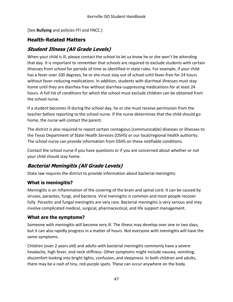[See **Bullying** and policies FFI and FNCC.]

# **Health-Related Matters**

## **Student Illness (All Grade Levels)**

When your child is ill, please contact the school to let us know he or she won't be attending that day. It is important to remember that schools are required to exclude students with certain illnesses from school for periods of time as identified in state rules. For example, if your child has a fever over 100 degrees, he or she must stay out of school until fever-free for 24 hours without fever-reducing medications. In addition, students with diarrheal illnesses must stay home until they are diarrhea free without diarrhea-suppressing medications for at least 24 hours. A full list of conditions for which the school must exclude children can be obtained from the school nurse.

If a student becomes ill during the school day, he or she must receive permission from the teacher before reporting to the school nurse. If the nurse determines that the child should go home, the nurse will contact the parent.

The district is also required to report certain contagious (communicable) diseases or illnesses to the Texas Department of State Health Services (DSHS) or our local/regional health authority. The school nurse can provide information from DSHS on these notifiable conditions.

Contact the school nurse if you have questions or if you are concerned about whether or not your child should stay home.

# **Bacterial Meningitis (All Grade Levels)**

State law requires the district to provide information about bacterial meningitis:

#### **What is meningitis?**

Meningitis is an inflammation of the covering of the brain and spinal cord. It can be caused by viruses, parasites, fungi, and bacteria. Viral meningitis is common and most people recover fully. Parasitic and fungal meningitis are very rare. Bacterial meningitis is very serious and may involve complicated medical, surgical, pharmaceutical, and life support management.

#### **What are the symptoms?**

Someone with meningitis will become very ill. The illness may develop over one or two days, but it can also rapidly progress in a matter of hours. Not everyone with meningitis will have the same symptoms.

Children (over 2 years old) and adults with bacterial meningitis commonly have a severe headache, high fever, and neck stiffness. Other symptoms might include nausea, vomiting, discomfort looking into bright lights, confusion, and sleepiness. In both children and adults, there may be a rash of tiny, red-purple spots. These can occur anywhere on the body.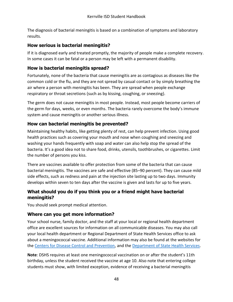The diagnosis of bacterial meningitis is based on a combination of symptoms and laboratory results.

#### **How serious is bacterial meningitis?**

If it is diagnosed early and treated promptly, the majority of people make a complete recovery. In some cases it can be fatal or a person may be left with a permanent disability.

#### **How is bacterial meningitis spread?**

Fortunately, none of the bacteria that cause meningitis are as contagious as diseases like the common cold or the flu, and they are not spread by casual contact or by simply breathing the air where a person with meningitis has been. They are spread when people exchange respiratory or throat secretions (such as by kissing, coughing, or sneezing).

The germ does not cause meningitis in most people. Instead, most people become carriers of the germ for days, weeks, or even months. The bacteria rarely overcome the body's immune system and cause meningitis or another serious illness.

#### **How can bacterial meningitis be prevented?**

Maintaining healthy habits, like getting plenty of rest, can help prevent infection. Using good health practices such as covering your mouth and nose when coughing and sneezing and washing your hands frequently with soap and water can also help stop the spread of the bacteria. It's a good idea not to share food, drinks, utensils, toothbrushes, or cigarettes. Limit the number of persons you kiss.

There are vaccines available to offer protection from some of the bacteria that can cause bacterial meningitis. The vaccines are safe and effective (85–90 percent). They can cause mild side effects, such as redness and pain at the injection site lasting up to two days. Immunity develops within seven to ten days after the vaccine is given and lasts for up to five years.

#### **What should you do if you think you or a friend might have bacterial meningitis?**

You should seek prompt medical attention.

#### **Where can you get more information?**

Your school nurse, family doctor, and the staff at your local or regional health department office are excellent sources for information on all communicable diseases. You may also call your local health department or Regional Department of State Health Services office to ask about a meningococcal vaccine. Additional information may also be found at the websites for the [Centers for Disease Control and Prevention,](https://www.cdc.gov/) and the [Department of State Health Services.](http://www.dshs.texas.gov/)

**Note**: DSHS requires at least one meningococcal vaccination on or after the student's 11th birthday, unless the student received the vaccine at age 10. Also note that entering college students must show, with limited exception, evidence of receiving a bacterial meningitis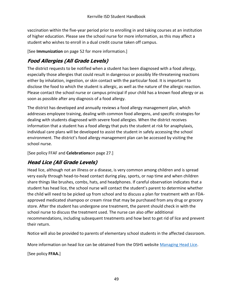vaccination within the five-year period prior to enrolling in and taking courses at an institution of higher education. Please see the school nurse for more information, as this may affect a student who wishes to enroll in a dual credit course taken off campus.

[See **Immunization** [on page 52](#page-61-0) for more information.]

# **Food Allergies (All Grade Levels)**

The district requests to be notified when a student has been diagnosed with a food allergy, especially those allergies that could result in dangerous or possibly life-threatening reactions either by inhalation, ingestion, or skin contact with the particular food. It is important to disclose the food to which the student is allergic, as well as the nature of the allergic reaction. Please contact the school nurse or campus principal if your child has a known food allergy or as soon as possible after any diagnosis of a food allergy.

The district has developed and annually reviews a food allergy management plan, which addresses employee training, dealing with common food allergens, and specific strategies for dealing with students diagnosed with severe food allergies. When the district receives information that a student has a food allergy that puts the student at risk for anaphylaxis, individual care plans will be developed to assist the student in safely accessing the school environment. The district's food allergy management plan can be accessed by visiting the school nurse.

[See policy FFAF and **Celebrations**[on page 27.](#page-36-0)]

# **Head Lice (All Grade Levels)**

Head lice, although not an illness or a disease, is very common among children and is spread very easily through head-to-head contact during play, sports, or nap time and when children share things like brushes, combs, hats, and headphones. If careful observation indicates that a student has head lice, the school nurse will contact the student's parent to determine whether the child will need to be picked up from school and to discuss a plan for treatment with an FDAapproved medicated shampoo or cream rinse that may be purchased from any drug or grocery store. After the student has undergone one treatment, the parent should check in with the school nurse to discuss the treatment used. The nurse can also offer additional recommendations, including subsequent treatments and how best to get rid of lice and prevent their return.

Notice will also be provided to parents of elementary school students in the affected classroom.

More information on head lice can be obtained from the DSHS website [Managing Head Lice.](http://www.dshs.state.tx.us/schoolhealth/lice.shtm)

[See policy **FFAA.**]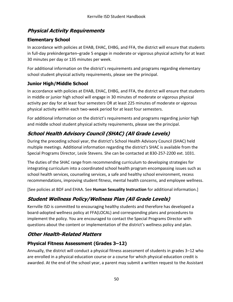#### **Physical Activity Requirements**

#### **Elementary School**

In accordance with policies at EHAB, EHAC, EHBG, and FFA, the district will ensure that students in full-day prekindergarten–grade 5 engage in moderate or vigorous physical activity for at least 30 minutes per day or 135 minutes per week.

For additional information on the district's requirements and programs regarding elementary school student physical activity requirements, please see the principal.

#### **Junior High/Middle School**

In accordance with policies at EHAB, EHAC, EHBG, and FFA, the district will ensure that students in middle or junior high school will engage in 30 minutes of moderate or vigorous physical activity per day for at least four semesters OR at least 225 minutes of moderate or vigorous physical activity within each two-week period for at least four semesters.

For additional information on the district's requirements and programs regarding junior high and middle school student physical activity requirements, please see the principal.

# **School Health Advisory Council (SHAC) (All Grade Levels)**

During the preceding school year, the district's School Health Advisory Council (SHAC) held multiple meetings. Additional information regarding the district's SHAC is available from the Special Programs Director, Lesle Stevens. She can be contacted at 830-257-2200 ext. 1031.

The duties of the SHAC range from recommending curriculum to developing strategies for integrating curriculum into a coordinated school health program encompassing issues such as school health services, counseling services, a safe and healthy school environment, recess recommendations, improving student fitness, mental health concerns, and employee wellness.

[See policies at BDF and EHAA. See **Human Sexuality Instruction** for additional information.]

# **Student Wellness Policy/Wellness Plan (All Grade Levels)**

Kerrville ISD is committed to encouraging healthy students and therefore has developed a board-adopted wellness policy at FFA(LOCAL) and corresponding plans and procedures to implement the policy. You are encouraged to contact the Special Programs Director with questions about the content or implementation of the district's wellness policy and plan.

## **Other Health-Related Matters**

#### **Physical Fitness Assessment (Grades 3–12)**

Annually, the district will conduct a physical fitness assessment of students in grades 3–12 who are enrolled in a physical education course or a course for which physical education credit is awarded. At the end of the school year, a parent may submit a written request to the Assistant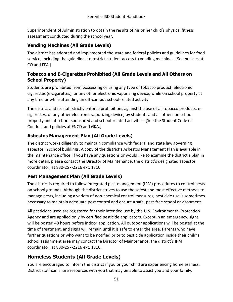Superintendent of Administration to obtain the results of his or her child's physical fitness assessment conducted during the school year.

#### **Vending Machines (All Grade Levels)**

The district has adopted and implemented the state and federal policies and guidelines for food service, including the guidelines to restrict student access to vending machines. [See policies at CO and FFA.]

#### **Tobacco and E-Cigarettes Prohibited (All Grade Levels and All Others on School Property)**

Students are prohibited from possessing or using any type of tobacco product, electronic cigarettes (e-cigarettes), or any other electronic vaporizing device, while on school property at any time or while attending an off-campus school-related activity.

The district and its staff strictly enforce prohibitions against the use of all tobacco products, ecigarettes, or any other electronic vaporizing device, by students and all others on school property and at school-sponsored and school-related activities. [See the Student Code of Conduct and policies at FNCD and GKA.]

#### **Asbestos Management Plan (All Grade Levels)**

The district works diligently to maintain compliance with federal and state law governing asbestos in school buildings. A copy of the district's Asbestos Management Plan is available in the maintenance office. If you have any questions or would like to examine the district's plan in more detail, please contact the Director of Maintenance, the district's designated asbestos coordinator, at 830-257-2216 ext. 1310.

#### **Pest Management Plan (All Grade Levels)**

The district is required to follow integrated pest management (IPM) procedures to control pests on school grounds. Although the district strives to use the safest and most effective methods to manage pests, including a variety of non-chemical control measures, pesticide use is sometimes necessary to maintain adequate pest control and ensure a safe, pest-free school environment.

All pesticides used are registered for their intended use by the U.S. Environmental Protection Agency and are applied only by certified pesticide applicators. Except in an emergency, signs will be posted 48 hours before indoor application. All outdoor applications will be posted at the time of treatment, and signs will remain until it is safe to enter the area. Parents who have further questions or who want to be notified prior to pesticide application inside their child's school assignment area may contact the Director of Maintenance, the district's IPM coordinator, at 830-257-2216 ext. 1310.

## **Homeless Students (All Grade Levels)**

You are encouraged to inform the district if you or your child are experiencing homelessness. District staff can share resources with you that may be able to assist you and your family.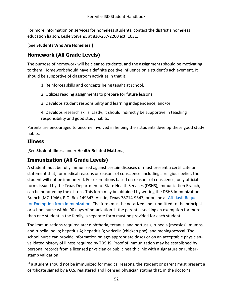For more information on services for homeless students, contact the district's homeless education liaison, Lesle Stevens, at 830-257-2200 ext. 1031.

[See **Students Who Are Homeless**.]

#### **Homework (All Grade Levels)**

The purpose of homework will be clear to students, and the assignments should be motivating to them. Homework should have a definite positive influence on a student's achievement. It should be supportive of classroom activities in that it:

- 1. Reinforces skills and concepts being taught at school,
- 2. Utilizes reading assignments to prepare for future lessons,
- 3. Develops student responsibility and learning independence, and/or
- 4. Develops research skills. Lastly, it should indirectly be supportive in teaching responsibility and good study habits.

Parents are encouraged to become involved in helping their students develop these good study habits.

#### **Illness**

[See **Student Illness** under **Health-Related Matters**.]

#### <span id="page-61-0"></span>**Immunization (All Grade Levels)**

A student must be fully immunized against certain diseases or must present a certificate or statement that, for medical reasons or reasons of conscience, including a religious belief, the student will not be immunized. For exemptions based on reasons of conscience, only official forms issued by the Texas Department of State Health Services (DSHS), Immunization Branch, can be honored by the district. This form may be obtained by writing the DSHS Immunization Branch (MC 1946), P.O. Box 149347, Austin, Texas 78714-9347; or online at [Affidavit Request](https://corequest.dshs.texas.gov/)  [for Exemption from Immunization.](https://corequest.dshs.texas.gov/) The form must be notarized and submitted to the principal or school nurse within 90 days of notarization. If the parent is seeking an exemption for more than one student in the family, a separate form must be provided for each student.

The immunizations required are: diphtheria, tetanus, and pertussis; rubeola (measles), mumps, and rubella; polio; hepatitis A; hepatitis B; varicella (chicken pox); and meningococcal. The school nurse can provide information on age-appropriate doses or on an acceptable physicianvalidated history of illness required by TDSHS. Proof of immunization may be established by personal records from a licensed physician or public health clinic with a signature or rubberstamp validation.

If a student should not be immunized for medical reasons, the student or parent must present a certificate signed by a U.S. registered and licensed physician stating that, in the doctor's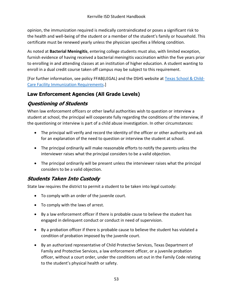opinion, the immunization required is medically contraindicated or poses a significant risk to the health and well-being of the student or a member of the student's family or household. This certificate must be renewed yearly unless the physician specifies a lifelong condition.

As noted at **Bacterial Meningitis**, entering college students must also, with limited exception, furnish evidence of having received a bacterial meningitis vaccination within the five years prior to enrolling in and attending classes at an institution of higher education. A student wanting to enroll in a dual credit course taken off campus may be subject to this requirement.

[For further information, see policy FFAB(LEGAL) and the DSHS website at [Texas School & Child-](http://www.dshs.state.tx.us/immunize/school/default.shtm)[Care Facility Immunization Requirements.](http://www.dshs.state.tx.us/immunize/school/default.shtm)]

# **Law Enforcement Agencies (All Grade Levels)**

# **Questioning of Students**

When law enforcement officers or other lawful authorities wish to question or interview a student at school, the principal will cooperate fully regarding the conditions of the interview, if the questioning or interview is part of a child abuse investigation. In other circumstances:

- The principal will verify and record the identity of the officer or other authority and ask for an explanation of the need to question or interview the student at school.
- The principal ordinarily will make reasonable efforts to notify the parents unless the interviewer raises what the principal considers to be a valid objection.
- The principal ordinarily will be present unless the interviewer raises what the principal considers to be a valid objection.

#### **Students Taken Into Custody**

State law requires the district to permit a student to be taken into legal custody:

- To comply with an order of the juvenile court.
- To comply with the laws of arrest.
- By a law enforcement officer if there is probable cause to believe the student has engaged in delinquent conduct or conduct in need of supervision.
- By a probation officer if there is probable cause to believe the student has violated a condition of probation imposed by the juvenile court.
- By an authorized representative of Child Protective Services, Texas Department of Family and Protective Services, a law enforcement officer, or a juvenile probation officer, without a court order, under the conditions set out in the Family Code relating to the student's physical health or safety.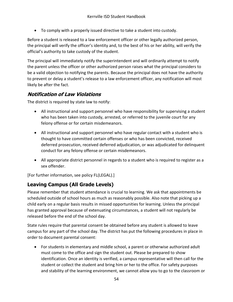To comply with a properly issued directive to take a student into custody.

Before a student is released to a law enforcement officer or other legally authorized person, the principal will verify the officer's identity and, to the best of his or her ability, will verify the official's authority to take custody of the student.

The principal will immediately notify the superintendent and will ordinarily attempt to notify the parent unless the officer or other authorized person raises what the principal considers to be a valid objection to notifying the parents. Because the principal does not have the authority to prevent or delay a student's release to a law enforcement officer, any notification will most likely be after the fact.

#### **Notification of Law Violations**

The district is required by state law to notify:

- All instructional and support personnel who have responsibility for supervising a student who has been taken into custody, arrested, or referred to the juvenile court for any felony offense or for certain misdemeanors.
- All instructional and support personnel who have regular contact with a student who is thought to have committed certain offenses or who has been convicted, received deferred prosecution, received deferred adjudication, or was adjudicated for delinquent conduct for any felony offense or certain misdemeanors.
- All appropriate district personnel in regards to a student who is required to register as a sex offender.

[For further information, see policy FL(LEGAL).]

#### **Leaving Campus (All Grade Levels)**

Please remember that student attendance is crucial to learning. We ask that appointments be scheduled outside of school hours as much as reasonably possible. Also note that picking up a child early on a regular basis results in missed opportunities for learning. Unless the principal has granted approval because of extenuating circumstances, a student will not regularly be released before the end of the school day.

State rules require that parental consent be obtained before any student is allowed to leave campus for any part of the school day. The district has put the following procedures in place in order to document parental consent:

 For students in elementary and middle school, a parent or otherwise authorized adult must come to the office and sign the student out. Please be prepared to show identification. Once an identity is verified, a campus representative will then call for the student or collect the student and bring him or her to the office. For safety purposes and stability of the learning environment, we cannot allow you to go to the classroom or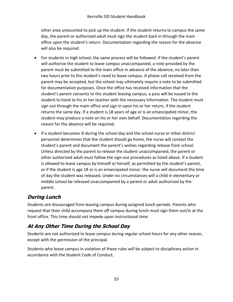other area unescorted to pick up the student. If the student returns to campus the same day, the parent or authorized adult must sign the student back in through the main office upon the student's return. Documentation regarding the reason for the absence will also be required.

- For students in high school, the same process will be followed. If the student's parent will authorize the student to leave campus unaccompanied, a note provided by the parent must be submitted to the main office in advance of the absence, no later than two hours prior to the student's need to leave campus. A phone call received from the parent may be accepted, but the school may ultimately require a note to be submitted for documentation purposes. Once the office has received information that the student's parent consents to the student leaving campus, a pass will be issued to the student to hand to his or her teacher with the necessary information. The student must sign out through the main office and sign in upon his or her return, if the student returns the same day. If a student is 18 years of age or is an emancipated minor, the student may produce a note on his or her own behalf. Documentation regarding the reason for the absence will be required.
- If a student becomes ill during the school day and the school nurse or other district personnel determines that the student should go home, the nurse will contact the student's parent and document the parent's wishes regarding release from school. Unless directed by the parent to release the student unaccompanied, the parent or other authorized adult must follow the sign-out procedures as listed above. If a student is allowed to leave campus by himself or herself, as permitted by the student's parent, or if the student is age 18 or is an emancipated minor, the nurse will document the time of day the student was released. Under no circumstances will a child in elementary or middle school be released unaccompanied by a parent or adult authorized by the parent.

# **During Lunch**

Students are discouraged from leaving campus during assigned lunch periods. Parents who request that their child accompany them off campus during lunch must sign them out/in at the front office. This time should not impede upon instructional time.

# **At Any Other Time During the School Day**

Students are not authorized to leave campus during regular school hours for any other reason, except with the permission of the principal.

Students who leave campus in violation of these rules will be subject to disciplinary action in accordance with the Student Code of Conduct.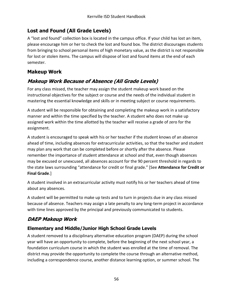#### **Lost and Found (All Grade Levels)**

A "lost and found" collection box is located in the campus office. If your child has lost an item, please encourage him or her to check the lost and found box. The district discourages students from bringing to school personal items of high monetary value, as the district is not responsible for lost or stolen items. The campus will dispose of lost and found items at the end of each semester.

#### **Makeup Work**

# **Makeup Work Because of Absence (All Grade Levels)**

For any class missed, the teacher may assign the student makeup work based on the instructional objectives for the subject or course and the needs of the individual student in mastering the essential knowledge and skills or in meeting subject or course requirements.

A student will be responsible for obtaining and completing the makeup work in a satisfactory manner and within the time specified by the teacher. A student who does not make up assigned work within the time allotted by the teacher will receive a grade of zero for the assignment.

A student is encouraged to speak with his or her teacher if the student knows of an absence ahead of time, including absences for extracurricular activities, so that the teacher and student may plan any work that can be completed before or shortly after the absence. Please remember the importance of student attendance at school and that, even though absences may be excused or unexcused, all absences account for the 90 percent threshold in regards to the state laws surrounding "attendance for credit or final grade." [See **Attendance for Credit or Final Grade**.]

A student involved in an extracurricular activity must notify his or her teachers ahead of time about any absences.

A student will be permitted to make up tests and to turn in projects due in any class missed because of absence. Teachers may assign a late penalty to any long-term project in accordance with time lines approved by the principal and previously communicated to students.

# **DAEP Makeup Work**

## **Elementary and Middle/Junior High School Grade Levels**

A student removed to a disciplinary alternative education program (DAEP) during the school year will have an opportunity to complete, before the beginning of the next school year, a foundation curriculum course in which the student was enrolled at the time of removal. The district may provide the opportunity to complete the course through an alternative method, including a correspondence course, another distance learning option, or summer school. The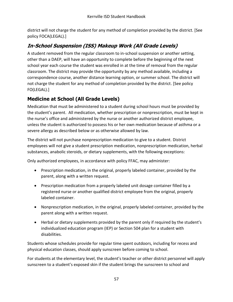district will not charge the student for any method of completion provided by the district. [See policy FOCA(LEGAL).]

# **In-School Suspension (ISS) Makeup Work (All Grade Levels)**

A student removed from the regular classroom to in-school suspension or another setting, other than a DAEP, will have an opportunity to complete before the beginning of the next school year each course the student was enrolled in at the time of removal from the regular classroom. The district may provide the opportunity by any method available, including a correspondence course, another distance learning option, or summer school. The district will not charge the student for any method of completion provided by the district. [See policy FO(LEGAL).]

## **Medicine at School (All Grade Levels)**

Medication that must be administered to a student during school hours must be provided by the student's parent. All medication, whether prescription or nonprescription, must be kept in the nurse's office and administered by the nurse or another authorized district employee, unless the student is authorized to possess his or her own medication because of asthma or a severe allergy as described below or as otherwise allowed by law.

The district will not purchase nonprescription medication to give to a student. District employees will not give a student prescription medication, nonprescription medication, herbal substances, anabolic steroids, or dietary supplements, with the following exceptions:

Only authorized employees, in accordance with policy FFAC, may administer:

- Prescription medication, in the original, properly labeled container, provided by the parent, along with a written request.
- Prescription medication from a properly labeled unit dosage container filled by a registered nurse or another qualified district employee from the original, properly labeled container.
- Nonprescription medication, in the original, properly labeled container, provided by the parent along with a written request.
- Herbal or dietary supplements provided by the parent only if required by the student's individualized education program (IEP) or Section 504 plan for a student with disabilities.

Students whose schedules provide for regular time spent outdoors, including for recess and physical education classes, should apply sunscreen before coming to school.

For students at the elementary level, the student's teacher or other district personnel will apply sunscreen to a student's exposed skin if the student brings the sunscreen to school and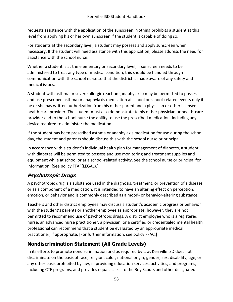requests assistance with the application of the sunscreen. Nothing prohibits a student at this level from applying his or her own sunscreen if the student is capable of doing so.

For students at the secondary level, a student may possess and apply sunscreen when necessary. If the student will need assistance with this application, please address the need for assistance with the school nurse.

Whether a student is at the elementary or secondary level, if sunscreen needs to be administered to treat any type of medical condition, this should be handled through communication with the school nurse so that the district is made aware of any safety and medical issues.

A student with asthma or severe allergic reaction (anaphylaxis) may be permitted to possess and use prescribed asthma or anaphylaxis medication at school or school-related events only if he or she has written authorization from his or her parent and a physician or other licensed health-care provider. The student must also demonstrate to his or her physician or health-care provider and to the school nurse the ability to use the prescribed medication, including any device required to administer the medication.

If the student has been prescribed asthma or anaphylaxis medication for use during the school day, the student and parents should discuss this with the school nurse or principal.

In accordance with a student's individual health plan for management of diabetes, a student with diabetes will be permitted to possess and use monitoring and treatment supplies and equipment while at school or at a school-related activity. See the school nurse or principal for information. [See policy FFAF(LEGAL).]

## **Psychotropic Drugs**

A psychotropic drug is a substance used in the diagnosis, treatment, or prevention of a disease or as a component of a medication. It is intended to have an altering effect on perception, emotion, or behavior and is commonly described as a mood- or behavior-altering substance.

Teachers and other district employees may discuss a student's academic progress or behavior with the student's parents or another employee as appropriate; however, they are not permitted to recommend use of psychotropic drugs. A district employee who is a registered nurse, an advanced nurse practitioner, a physician, or a certified or credentialed mental health professional can recommend that a student be evaluated by an appropriate medical practitioner, if appropriate. [For further information, see policy FFAC.]

# <span id="page-67-0"></span>**Nondiscrimination Statement (All Grade Levels)**

In its efforts to promote nondiscrimination and as required by law, Kerrville ISD does not discriminate on the basis of race, religion, color, national origin, gender, sex, disability, age, or any other basis prohibited by law, in providing education services, activities, and programs, including CTE programs, and provides equal access to the Boy Scouts and other designated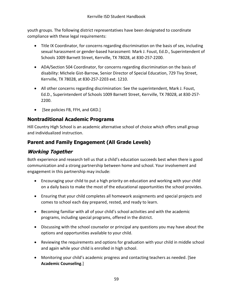youth groups. The following district representatives have been designated to coordinate compliance with these legal requirements:

- Title IX Coordinator, for concerns regarding discrimination on the basis of sex, including sexual harassment or gender-based harassment: Mark J. Foust, Ed.D., Superintendent of Schools 1009 Barnett Street, Kerrville, TX 78028, at 830-257-2200.
- ADA/Section 504 Coordinator, for concerns regarding discrimination on the basis of disability: Michele Gist-Barrow, Senior Director of Special Education, 729 Tivy Street, Kerrville, TX 78028, at 830-257-2203 ext. 1210.
- All other concerns regarding discrimination: See the superintendent, Mark J. Foust, Ed.D., Superintendent of Schools 1009 Barnett Street, Kerrville, TX 78028, at 830-257- 2200.
- [See policies FB, FFH, and GKD.]

#### **Nontraditional Academic Programs**

Hill Country High School is an academic alternative school of choice which offers small group and individualized instruction.

#### **Parent and Family Engagement (All Grade Levels)**

#### **Working Together**

Both experience and research tell us that a child's education succeeds best when there is good communication and a strong partnership between home and school. Your involvement and engagement in this partnership may include:

- Encouraging your child to put a high priority on education and working with your child on a daily basis to make the most of the educational opportunities the school provides.
- Ensuring that your child completes all homework assignments and special projects and comes to school each day prepared, rested, and ready to learn.
- Becoming familiar with all of your child's school activities and with the academic programs, including special programs, offered in the district.
- Discussing with the school counselor or principal any questions you may have about the options and opportunities available to your child.
- Reviewing the requirements and options for graduation with your child in middle school and again while your child is enrolled in high school.
- Monitoring your child's academic progress and contacting teachers as needed. [See **Academic Counseling**.]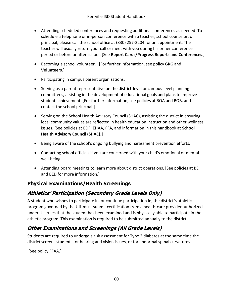- Attending scheduled conferences and requesting additional conferences as needed. To schedule a telephone or in-person conference with a teacher, school counselor, or principal, please call the school office at (830) 257-2204 for an appointment. The teacher will usually return your call or meet with you during his or her conference period or before or after school. [See **Report Cards/Progress Reports and Conferences**.]
- Becoming a school volunteer. [For further information, see policy GKG and **Volunteers**.]
- Participating in campus parent organizations.
- Serving as a parent representative on the district-level or campus-level planning committees, assisting in the development of educational goals and plans to improve student achievement. [For further information, see policies at BQA and BQB, and contact the school principal.]
- Serving on the School Health Advisory Council (SHAC), assisting the district in ensuring local community values are reflected in health education instruction and other wellness issues. [See policies at BDF, EHAA, FFA, and information in this handbook at **School Health Advisory Council (SHAC).**]
- Being aware of the school's ongoing bullying and harassment prevention efforts.
- Contacting school officials if you are concerned with your child's emotional or mental well-being.
- Attending board meetings to learn more about district operations. [See policies at BE and BED for more information.]

## **Physical Examinations/Health Screenings**

# **Athletics' Participation (Secondary Grade Levels Only)**

A student who wishes to participate in, or continue participation in, the district's athletics program governed by the UIL must submit certification from a health-care provider authorized under UIL rules that the student has been examined and is physically able to participate in the athletic program. This examination is required to be submitted annually to the district.

# **Other Examinations and Screenings (All Grade Levels)**

Students are required to undergo a risk assessment for Type 2 diabetes at the same time the district screens students for hearing and vision issues, or for abnormal spinal curvatures.

[See policy FFAA.]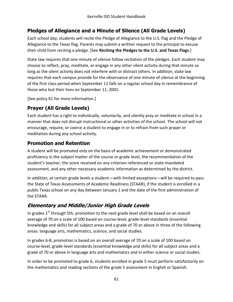# **Pledges of Allegiance and a Minute of Silence (All Grade Levels)**

Each school day, students will recite the Pledge of Allegiance to the U.S. flag and the Pledge of Allegiance to the Texas flag. Parents may submit a written request to the principal to excuse their child from reciting a pledge. [See **Reciting the Pledges to the U.S. and Texas Flags**.]

State law requires that one minute of silence follow recitation of the pledges. Each student may choose to reflect, pray, meditate, or engage in any other silent activity during that minute so long as the silent activity does not interfere with or distract others. In addition, state law requires that each campus provide for the observance of one minute of silence at the beginning of the first class period when September 11 falls on a regular school day in remembrance of those who lost their lives on September 11, 2001.

[See policy EC for more information.]

## **Prayer (All Grade Levels)**

Each student has a right to individually, voluntarily, and silently pray or meditate in school in a manner that does not disrupt instructional or other activities of the school. The school will not encourage, require, or coerce a student to engage in or to refrain from such prayer or meditation during any school activity.

#### **Promotion and Retention**

A student will be promoted only on the basis of academic achievement or demonstrated proficiency in the subject matter of the course or grade level, the recommendation of the student's teacher, the score received on any criterion-referenced or state-mandated assessment, and any other necessary academic information as determined by the district.

In addition, at certain grade levels a student—with limited exceptions—will be required to pass the State of Texas Assessments of Academic Readiness (STAAR), if the student is enrolled in a public Texas school on any day between January 1 and the date of the first administration of the STAAR.

# **Elementary and Middle/Junior High Grade Levels**

In grades 1<sup>st</sup> through 5th, promotion to the next grade level shall be based on an overall average of 70 on a scale of 100 based on course-level, grade-level standards (essential knowledge and skills) for all subject areas and a grade of 70 or above in three of the following areas: language arts, mathematics, science, and social studies.

In grades 6-8, promotion is based on an overall average of 70 on a scale of 100 based on course-level, grade-level standards (essential knowledge and skills) for all subject areas and a grade of 70 or above in language arts and mathematics and in either science or social studies.

In order to be promoted to grade 6, students enrolled in grade 5 must perform satisfactorily on the mathematics and reading sections of the grade 5 assessment in English or Spanish.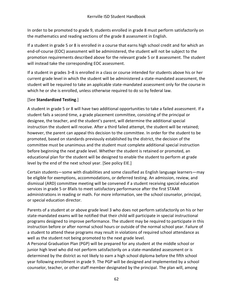In order to be promoted to grade 9, students enrolled in grade 8 must perform satisfactorily on the mathematics and reading sections of the grade 8 assessment in English.

If a student in grade 5 or 8 is enrolled in a course that earns high school credit and for which an end-of-course (EOC) assessment will be administered, the student will not be subject to the promotion requirements described above for the relevant grade 5 or 8 assessment. The student will instead take the corresponding EOC assessment.

If a student in grades 3–8 is enrolled in a class or course intended for students above his or her current grade level in which the student will be administered a state-mandated assessment, the student will be required to take an applicable state-mandated assessment only for the course in which he or she is enrolled, unless otherwise required to do so by federal law.

#### [See **Standardized Testing**.]

A student in grade 5 or 8 will have two additional opportunities to take a failed assessment. If a student fails a second time, a grade placement committee, consisting of the principal or designee, the teacher, and the student's parent, will determine the additional special instruction the student will receive. After a third failed attempt, the student will be retained; however, the parent can appeal this decision to the committee. In order for the student to be promoted, based on standards previously established by the district, the decision of the committee must be unanimous and the student must complete additional special instruction before beginning the next grade level. Whether the student is retained or promoted, an educational plan for the student will be designed to enable the student to perform at grade level by the end of the next school year. [See policy EIE.]

Certain students—some with disabilities and some classified as English language learners—may be eligible for exemptions, accommodations, or deferred testing. An admission, review, and dismissal (ARD) committee meeting will be convened if a student receiving special education services in grade 5 or 8fails to meet satisfactory performance after the first STAAR administrations in reading or math. For more information, see the school counselor, principal, or special education director.

Parents of a student at or above grade level 3 who does not perform satisfactorily on his or her state-mandated exams will be notified that their child will participate in special instructional programs designed to improve performance. The student may be required to participate in this instruction before or after normal school hours or outside of the normal school year. Failure of a student to attend these programs may result in violations of required school attendance as well as the student not being promoted to the next grade level.

A Personal Graduation Plan (PGP) will be prepared for any student at the middle school or junior high level who did not perform satisfactorily on a state-mandated assessment or is determined by the district as not likely to earn a high school diploma before the fifth school year following enrollment in grade 9. The PGP will be designed and implemented by a school counselor, teacher, or other staff member designated by the principal. The plan will, among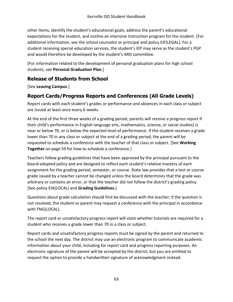other items, identify the student's educational goals, address the parent's educational expectations for the student, and outline an intensive instruction program for the student. [For additional information, see the school counselor or principal and policy EIF(LEGAL). For a student receiving special education services, the student's IEP may serve as the student's PGP and would therefore be developed by the student's ARD committee.

[For information related to the development of personal graduation plans for high school students, see **Personal Graduation Plan.**]

### **Release of Students from School**

[See **Leaving Campus**.]

# **Report Cards/Progress Reports and Conferences (All Grade Levels)**

Report cards with each student's grades or performance and absences in each class or subject are issued at least once every 6 weeks.

At the end of the first three weeks of a grading period, parents will receive a progress report if their child's performance in English language arts, mathematics, science, or social studies] is near or below 70, or is below the expected level of performance. If the student receives a grade lower than 70 in any class or subject at the end of a grading period, the parent will be requested to schedule a conference with the teacher of that class or subject. [See **Working Together** [on page 59](#page-68-0) for how to schedule a conference.]

Teachers follow grading guidelines that have been approved by the principal pursuant to the board-adopted policy and are designed to reflect each student's relative mastery of each assignment for the grading period, semester, or course. State law provides that a test or course grade issued by a teacher cannot be changed unless the board determines that the grade was arbitrary or contains an error, or that the teacher did not follow the district's grading policy. [See policy EIA(LOCAL) and **Grading Guidelines**.]

Questions about grade calculation should first be discussed with the teacher; if the question is not resolved, the student or parent may request a conference with the principal in accordance with FNG(LOCAL).

The report card or unsatisfactory progress report will state whether tutorials are required for a student who receives a grade lower than 70 in a class or subject.

Report cards and unsatisfactory progress reports must be signed by the parent and returned to the school the next day. The district may use an electronic program to communicate academic information about your child, including for report card and progress reporting purposes. An electronic signature of the parent will be accepted by the district, but you are entitled to request the option to provide a handwritten signature of acknowledgment instead.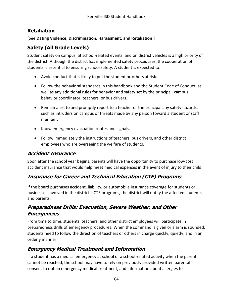#### **Retaliation**

[See **Dating Violence, Discrimination, Harassment, and Retaliation**.]

#### **Safety (All Grade Levels)**

Student safety on campus, at school-related events, and on district vehicles is a high priority of the district. Although the district has implemented safety procedures, the cooperation of students is essential to ensuring school safety. A student is expected to:

- Avoid conduct that is likely to put the student or others at risk.
- Follow the behavioral standards in this handbook and the Student Code of Conduct, as well as any additional rules for behavior and safety set by the principal, campus behavior coordinator, teachers, or bus drivers.
- Remain alert to and promptly report to a teacher or the principal any safety hazards, such as intruders on campus or threats made by any person toward a student or staff member.
- Know emergency evacuation routes and signals.
- Follow immediately the instructions of teachers, bus drivers, and other district employees who are overseeing the welfare of students.

#### **Accident Insurance**

Soon after the school year begins, parents will have the opportunity to purchase low-cost accident insurance that would help meet medical expenses in the event of injury to their child.

### **Insurance for Career and Technical Education (CTE) Programs**

If the board purchases accident, liability, or automobile insurance coverage for students or businesses involved in the district's CTE programs, the district will notify the affected students and parents.

#### **Preparedness Drills: Evacuation, Severe Weather, and Other Emergencies**

From time to time, students, teachers, and other district employees will participate in preparedness drills of emergency procedures. When the command is given or alarm is sounded, students need to follow the direction of teachers or others in charge quickly, quietly, and in an orderly manner.

### **Emergency Medical Treatment and Information**

If a student has a medical emergency at school or a school-related activity when the parent cannot be reached, the school may have to rely on previously provided written parental consent to obtain emergency medical treatment, and information about allergies to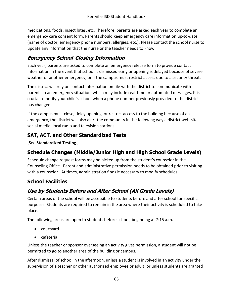medications, foods, insect bites, etc. Therefore, parents are asked each year to complete an emergency care consent form. Parents should keep emergency care information up-to-date (name of doctor, emergency phone numbers, allergies, etc.). Please contact the school nurse to update any information that the nurse or the teacher needs to know.

### **Emergency School-Closing Information**

Each year, parents are asked to complete an emergency release form to provide contact information in the event that school is dismissed early or opening is delayed because of severe weather or another emergency, or if the campus must restrict access due to a security threat.

The district will rely on contact information on file with the district to communicate with parents in an emergency situation, which may include real-time or automated messages. It is crucial to notify your child's school when a phone number previously provided to the district has changed.

If the campus must close, delay opening, or restrict access to the building because of an emergency, the district will also alert the community in the following ways: district web-site, social media, local radio and television stations.

### **SAT, ACT, and Other Standardized Tests**

[See **Standardized Testing**.]

### **Schedule Changes (Middle/Junior High and High School Grade Levels)**

Schedule change request forms may be picked up from the student's counselor in the Counseling Office. Parent and administrative permission needs to be obtained prior to visiting with a counselor. At times, administration finds it necessary to modify schedules.

### **School Facilities**

# **Use by Students Before and After School (All Grade Levels)**

Certain areas of the school will be accessible to students before and after school for specific purposes. Students are required to remain in the area where their activity is scheduled to take place.

The following areas are open to students before school, beginning at 7:15 a.m.

- courtyard
- cafeteria

Unless the teacher or sponsor overseeing an activity gives permission, a student will not be permitted to go to another area of the building or campus.

After dismissal of school in the afternoon, unless a student is involved in an activity under the supervision of a teacher or other authorized employee or adult, or unless students are granted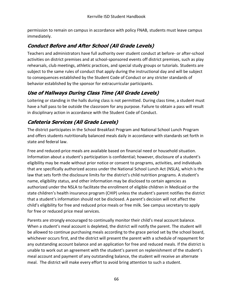permission to remain on campus in accordance with policy FNAB, students must leave campus immediately.

# **Conduct Before and After School (All Grade Levels)**

Teachers and administrators have full authority over student conduct at before- or after-school activities on district premises and at school-sponsored events off district premises, such as play rehearsals, club meetings, athletic practices, and special study groups or tutorials. Students are subject to the same rules of conduct that apply during the instructional day and will be subject to consequences established by the Student Code of Conduct or any stricter standards of behavior established by the sponsor for extracurricular participants.

# **Use of Hallways During Class Time (All Grade Levels)**

Loitering or standing in the halls during class is not permitted. During class time, a student must have a hall pass to be outside the classroom for any purpose. Failure to obtain a pass will result in disciplinary action in accordance with the Student Code of Conduct.

# **Cafeteria Services (All Grade Levels)**

The district participates in the School Breakfast Program and National School Lunch Program and offers students nutritionally balanced meals daily in accordance with standards set forth in state and federal law.

Free and reduced-price meals are available based on financial need or household situation. Information about a student's participation is confidential; however, disclosure of a student's eligibility may be made without prior notice or consent to programs, activities, and individuals that are specifically authorized access under the National School Lunch Act (NSLA), which is the law that sets forth the disclosure limits for the district's child nutrition programs. A student's name, eligibility status, and other information may be disclosed to certain agencies as authorized under the NSLA to facilitate the enrollment of eligible children in Medicaid or the state children's health insurance program (CHIP) unless the student's parent notifies the district that a student's information should not be disclosed. A parent's decision will not affect the child's eligibility for free and reduced price meals or free milk. See campus secretary to apply for free or reduced price meal services.

Parents are strongly encouraged to continually monitor their child's meal account balance. When a student's meal account is depleted, the district will notify the parent. The student will be allowed to continue purchasing meals according to the grace period set by the school board, whichever occurs first, and the district will present the parent with a schedule of repayment for any outstanding account balance and an application for free and reduced meals. If the district is unable to work out an agreement with the student's parent on replenishment of the student's meal account and payment of any outstanding balance, the student will receive an alternate meal. The district will make every effort to avoid bring attention to such a student.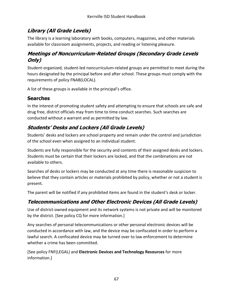# **Library (All Grade Levels)**

The library is a learning laboratory with books, computers, magazines, and other materials available for classroom assignments, projects, and reading or listening pleasure.

### **Meetings of Noncurriculum-Related Groups (Secondary Grade Levels Only)**

Student-organized, student-led noncurriculum-related groups are permitted to meet during the hours designated by the principal before and after school. These groups must comply with the requirements of policy FNAB(LOCAL).

A list of these groups is available in the principal's office.

#### **Searches**

In the interest of promoting student safety and attempting to ensure that schools are safe and drug free, district officials may from time to time conduct searches. Such searches are conducted without a warrant and as permitted by law.

# **Students' Desks and Lockers (All Grade Levels)**

Students' desks and lockers are school property and remain under the control and jurisdiction of the school even when assigned to an individual student.

Students are fully responsible for the security and contents of their assigned desks and lockers. Students must be certain that their lockers are locked, and that the combinations are not available to others.

Searches of desks or lockers may be conducted at any time there is reasonable suspicion to believe that they contain articles or materials prohibited by policy, whether or not a student is present.

The parent will be notified if any prohibited items are found in the student's desk or locker.

# **Telecommunications and Other Electronic Devices (All Grade Levels)**

Use of district-owned equipment and its network systems is not private and will be monitored by the district. [See policy CQ for more information.]

Any searches of personal telecommunications or other personal electronic devices will be conducted in accordance with law, and the device may be confiscated in order to perform a lawful search. A confiscated device may be turned over to law enforcement to determine whether a crime has been committed.

[See policy FNF(LEGAL) and **Electronic Devices and Technology Resources** for more information.]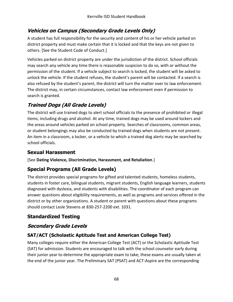# **Vehicles on Campus (Secondary Grade Levels Only)**

A student has full responsibility for the security and content of his or her vehicle parked on district property and must make certain that it is locked and that the keys are not given to others. [See the Student Code of Conduct.]

Vehicles parked on district property are under the jurisdiction of the district. School officials may search any vehicle any time there is reasonable suspicion to do so, with or without the permission of the student. If a vehicle subject to search is locked, the student will be asked to unlock the vehicle. If the student refuses, the student's parent will be contacted. If a search is also refused by the student's parent, the district will turn the matter over to law enforcement. The district may, in certain circumstances, contact law enforcement even if permission to search is granted.

# **Trained Dogs (All Grade Levels)**

The district will use trained dogs to alert school officials to the presence of prohibited or illegal items, including drugs and alcohol. At any time, trained dogs may be used around lockers and the areas around vehicles parked on school property. Searches of classrooms, common areas, or student belongings may also be conducted by trained dogs when students are not present. An item in a classroom, a locker, or a vehicle to which a trained dog alerts may be searched by school officials.

# **Sexual Harassment**

[See **Dating Violence, Discrimination, Harassment, and Retaliation**.]

# **Special Programs (All Grade Levels)**

The district provides special programs for gifted and talented students, homeless students, students in foster care, bilingual students, migrant students, English language learners, students diagnosed with dyslexia, and students with disabilities. The coordinator of each program can answer questions about eligibility requirements, as well as programs and services offered in the district or by other organizations. A student or parent with questions about these programs should contact Lesle Stevens at 830-257-2200 ext. 1031.

# **Standardized Testing**

# **Secondary Grade Levels**

### **SAT/ACT (Scholastic Aptitude Test and American College Test)**

Many colleges require either the American College Test (ACT) or the Scholastic Aptitude Test (SAT) for admission. Students are encouraged to talk with the school counselor early during their junior year to determine the appropriate exam to take; these exams are usually taken at the end of the junior year. The Preliminary SAT (PSAT) and ACT-Aspire are the corresponding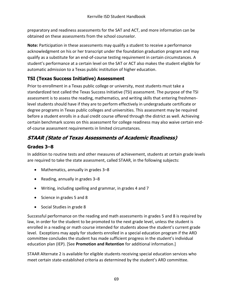preparatory and readiness assessments for the SAT and ACT, and more information can be obtained on these assessments from the school counselor.

**Note:** Participation in these assessments may qualify a student to receive a performance acknowledgment on his or her transcript under the foundation graduation program and may qualify as a substitute for an end-of-course testing requirement in certain circumstances. A student's performance at a certain level on the SAT or ACT also makes the student eligible for automatic admission to a Texas public institution of higher education.

### **TSI (Texas Success Initiative) Assessment**

Prior to enrollment in a Texas public college or university, most students must take a standardized test called the Texas Success Initiative (TSI) assessment. The purpose of the TSI assessment is to assess the reading, mathematics, and writing skills that entering freshmenlevel students should have if they are to perform effectively in undergraduate certificate or degree programs in Texas public colleges and universities. This assessment may be required before a student enrolls in a dual credit course offered through the district as well. Achieving certain benchmark scores on this assessment for college readiness may also waive certain endof-course assessment requirements in limited circumstances.

# **STAAR (State of Texas Assessments of Academic Readiness)**

### **Grades 3–8**

In addition to routine tests and other measures of achievement, students at certain grade levels are required to take the state assessment, called STAAR, in the following subjects:

- Mathematics, annually in grades 3–8
- Reading, annually in grades  $3-8$
- Writing, including spelling and grammar, in grades 4 and 7
- Science in grades 5 and 8
- Social Studies in grade 8

Successful performance on the reading and math assessments in grades 5 and 8 is required by law, in order for the student to be promoted to the next grade level, unless the student is enrolled in a reading or math course intended for students above the student's current grade level. Exceptions may apply for students enrolled in a special education program if the ARD committee concludes the student has made sufficient progress in the student's individual education plan (IEP). [See **Promotion and Retention** for additional information.]

STAAR Alternate 2 is available for eligible students receiving special education services who meet certain state-established criteria as determined by the student's ARD committee.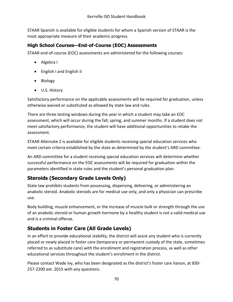STAAR Spanish is available for eligible students for whom a Spanish version of STAAR is the most appropriate measure of their academic progress.

#### **High School Courses—End-of-Course (EOC) Assessments**

STAAR end-of-course (EOC) assessments are administered for the following courses:

- Algebra I
- English I and English II
- Biology
- U.S. History

Satisfactory performance on the applicable assessments will be required for graduation, unless otherwise waived or substituted as allowed by state law and rules.

There are three testing windows during the year in which a student may take an EOC assessment, which will occur during the fall, spring, and summer months. If a student does not meet satisfactory performance, the student will have additional opportunities to retake the assessment.

STAAR Alternate 2 is available for eligible students receiving special education services who meet certain criteria established by the state as determined by the student's ARD committee.

An ARD committee for a student receiving special education services will determine whether successful performance on the EOC assessments will be required for graduation within the parameters identified in state rules and the student's personal graduation plan.

# **Steroids (Secondary Grade Levels Only)**

State law prohibits students from possessing, dispensing, delivering, or administering an anabolic steroid. Anabolic steroids are for medical use only, and only a physician can prescribe use.

Body building, muscle enhancement, or the increase of muscle bulk or strength through the use of an anabolic steroid or human growth hormone by a healthy student is not a valid medical use and is a criminal offense.

# **Students in Foster Care (All Grade Levels)**

In an effort to provide educational stability, the district will assist any student who is currently placed or newly placed in foster care (temporary or permanent custody of the state, sometimes referred to as substitute care) with the enrollment and registration process, as well as other educational services throughout the student's enrollment in the district.

Please contact Wade Ivy, who has been designated as the district's foster care liaison, at 830- 257-2200 ext. 2015 with any questions.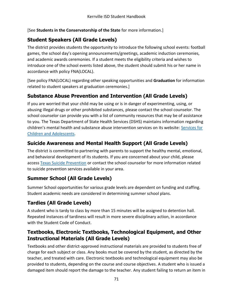[See **Students in the Conservatorship of the State** for more information.]

### **Student Speakers (All Grade Levels)**

The district provides students the opportunity to introduce the following school events: football games, the school day's opening announcements/greetings, academic induction ceremonies, and academic awards ceremonies. If a student meets the eligibility criteria and wishes to introduce one of the school events listed above, the student should submit his or her name in accordance with policy FNA(LOCAL).

[See policy FNA(LOCAL) regarding other speaking opportunities and **Graduation** for information related to student speakers at graduation ceremonies.]

### **Substance Abuse Prevention and Intervention (All Grade Levels)**

If you are worried that your child may be using or is in danger of experimenting, using, or abusing illegal drugs or other prohibited substances, please contact the school counselor. The school counselor can provide you with a list of community resources that may be of assistance to you. The Texas Department of State Health Services (DSHS) maintains information regarding children's mental health and substance abuse intervention services on its website: [Services for](http://www.dshs.state.tx.us/mhsa-child-adolescent-services/)  [Children and Adolescents.](http://www.dshs.state.tx.us/mhsa-child-adolescent-services/)

### **Suicide Awareness and Mental Health Support (All Grade Levels)**

The district is committed to partnering with parents to support the healthy mental, emotional, and behavioral development of its students. If you are concerned about your child, please access [Texas Suicide Prevention](http://www.texassuicideprevention.org/) or contact the school counselor for more information related to suicide prevention services available in your area.

### **Summer School (All Grade Levels)**

Summer School opportunities for various grade levels are dependent on funding and staffing. Student academic needs are considered in determining summer school plans.

# **Tardies (All Grade Levels)**

A student who is tardy to class by more than 15 minutes will be assigned to detention hall. Repeated instances of tardiness will result in more severe disciplinary action, in accordance with the Student Code of Conduct.

#### **Textbooks, Electronic Textbooks, Technological Equipment, and Other Instructional Materials (All Grade Levels)**

Textbooks and other district-approved instructional materials are provided to students free of charge for each subject or class. Any books must be covered by the student, as directed by the teacher, and treated with care. Electronic textbooks and technological equipment may also be provided to students, depending on the course and course objectives. A student who is issued a damaged item should report the damage to the teacher. Any student failing to return an item in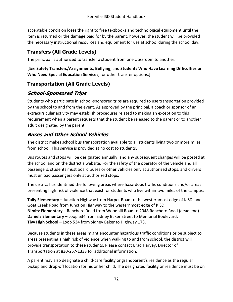acceptable condition loses the right to free textbooks and technological equipment until the item is returned or the damage paid for by the parent; however, the student will be provided the necessary instructional resources and equipment for use at school during the school day.

# **Transfers (All Grade Levels)**

The principal is authorized to transfer a student from one classroom to another.

[See **Safety Transfers/Assignments**, **Bullying**, and **Students Who Have Learning Difficulties or Who Need Special Education Services**, for other transfer options.]

### **Transportation (All Grade Levels)**

### **School-Sponsored Trips**

Students who participate in school-sponsored trips are required to use transportation provided by the school to and from the event. As approved by the principal, a coach or sponsor of an extracurricular activity may establish procedures related to making an exception to this requirement when a parent requests that the student be released to the parent or to another adult designated by the parent.

### **Buses and Other School Vehicles**

The district makes school bus transportation available to all students living two or more miles from school. This service is provided at no cost to students.

Bus routes and stops will be designated annually, and any subsequent changes will be posted at the school and on the district's website. For the safety of the operator of the vehicle and all passengers, students must board buses or other vehicles only at authorized stops, and drivers must unload passengers only at authorized stops.

The district has identified the following areas where hazardous traffic conditions and/or areas presenting high risk of violence that exist for students who live within two miles of the campus:

**Tally Elementary –** Junction Highway from Harper Road to the westernmost edge of KISD, and Goat Creek Road from Junction Highway to the westernmost edge of KISD. **Nimitz Elementary –** Ranchero Road from Woodhill Road to 2048 Ranchero Road (dead end). **Daniels Elementary –** Loop 534 from Sidney Baker Street to Memorial Boulevard. **Tivy High School** – Loop 534 from Sidney Baker to Highway 173.

Because students in these areas might encounter hazardous traffic conditions or be subject to areas presenting a high risk of violence when walking to and from school, the district will provide transportation to these students. Please contact Brad Harvey, Director of Transportation at 830-257-1333 for additional information.

A parent may also designate a child-care facility or grandparent's residence as the regular pickup and drop-off location for his or her child. The designated facility or residence must be on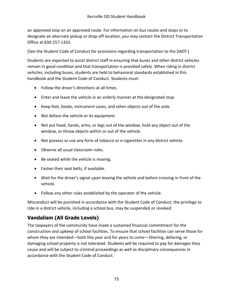an approved stop on an approved route. For information on bus routes and stops or to designate an alternate pickup or drop-off location, you may contact the District Transportation Office at 830-257-1333.

[See the Student Code of Conduct for provisions regarding transportation to the DAEP.]

Students are expected to assist district staff in ensuring that buses and other district vehicles remain in good condition and that transportation is provided safely. When riding in district vehicles, including buses, students are held to behavioral standards established in this handbook and the Student Code of Conduct. Students must:

- Follow the driver's directions at all times.
- Enter and leave the vehicle in an orderly manner at the designated stop.
- Keep feet, books, instrument cases, and other objects out of the aisle.
- Not deface the vehicle or its equipment.
- Not put head, hands, arms, or legs out of the window, hold any object out of the window, or throw objects within or out of the vehicle.
- Not possess or use any form of tobacco or e-cigarettes in any district vehicle.
- Observe all usual classroom rules.
- Be seated while the vehicle is moving.
- Fasten their seat belts, if available.
- Wait for the driver's signal upon leaving the vehicle and before crossing in front of the vehicle.
- Follow any other rules established by the operator of the vehicle.

Misconduct will be punished in accordance with the Student Code of Conduct; the privilege to ride in a district vehicle, including a school bus, may be suspended or revoked.

# **Vandalism (All Grade Levels)**

The taxpayers of the community have made a sustained financial commitment for the construction and upkeep of school facilities. To ensure that school facilities can serve those for whom they are intended—both this year and for years to come—littering, defacing, or damaging school property is not tolerated. Students will be required to pay for damages they cause and will be subject to criminal proceedings as well as disciplinary consequences in accordance with the Student Code of Conduct.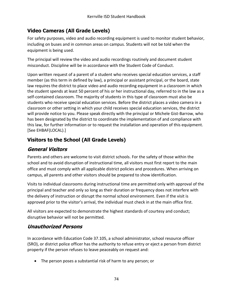### **Video Cameras (All Grade Levels)**

For safety purposes, video and audio recording equipment is used to monitor student behavior, including on buses and in common areas on campus. Students will not be told when the equipment is being used.

The principal will review the video and audio recordings routinely and document student misconduct. Discipline will be in accordance with the Student Code of Conduct.

Upon written request of a parent of a student who receives special education services, a staff member (as this term in defined by law), a principal or assistant principal, or the board, state law requires the district to place video and audio recording equipment in a classroom in which the student spends at least 50 percent of his or her instructional day, referred to in the law as a self-contained classroom. The majority of students in this type of classroom must also be students who receive special education services. Before the district places a video camera in a classroom or other setting in which your child receives special education services, the district will provide notice to you. Please speak directly with the principal or Michele Gist-Barrow, who has been designated by the district to coordinate the implementation of and compliance with this law, for further information or to request the installation and operation of this equipment. [See EHBAF(LOCAL).]

### **Visitors to the School (All Grade Levels)**

#### **General Visitors**

Parents and others are welcome to visit district schools. For the safety of those within the school and to avoid disruption of instructional time, all visitors must first report to the main office and must comply with all applicable district policies and procedures. When arriving on campus, all parents and other visitors should be prepared to show identification.

Visits to individual classrooms during instructional time are permitted only with approval of the principal and teacher and only so long as their duration or frequency does not interfere with the delivery of instruction or disrupt the normal school environment. Even if the visit is approved prior to the visitor's arrival, the individual must check in at the main office first.

All visitors are expected to demonstrate the highest standards of courtesy and conduct; disruptive behavior will not be permitted.

#### **Unauthorized Persons**

In accordance with Education Code 37.105, a school administrator, school resource officer (SRO), or district police officer has the authority to refuse entry or eject a person from district property if the person refuses to leave peaceably on request and:

The person poses a substantial risk of harm to any person; or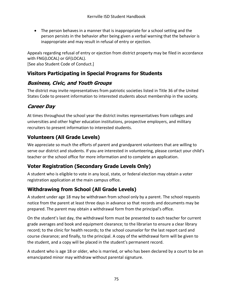The person behaves in a manner that is inappropriate for a school setting and the person persists in the behavior after being given a verbal warning that the behavior is inappropriate and may result in refusal of entry or ejection.

Appeals regarding refusal of entry or ejection from district property may be filed in accordance with FNG(LOCAL) or GF(LOCAL). [See also Student Code of Conduct.]

### **Visitors Participating in Special Programs for Students**

### **Business, Civic, and Youth Groups**

The district may invite representatives from patriotic societies listed in Title 36 of the United States Code to present information to interested students about membership in the society.

# **Career Day**

At times throughout the school year the district invites representatives from colleges and universities and other higher education institutions, prospective employers, and military recruiters to present information to interested students.

### **Volunteers (All Grade Levels)**

We appreciate so much the efforts of parent and grandparent volunteers that are willing to serve our district and students. If you are interested in volunteering, please contact your child's teacher or the school office for more information and to complete an application.

# **Voter Registration (Secondary Grade Levels Only)**

A student who is eligible to vote in any local, state, or federal election may obtain a voter registration application at the main campus office.

### **Withdrawing from School (All Grade Levels)**

A student under age 18 may be withdrawn from school only by a parent. The school requests notice from the parent at least three days in advance so that records and documents may be prepared. The parent may obtain a withdrawal form from the principal's office.

On the student's last day, the withdrawal form must be presented to each teacher for current grade averages and book and equipment clearance; to the librarian to ensure a clear library record; to the clinic for health records; to the school counselor for the last report card and course clearance; and finally, to the principal. A copy of the withdrawal form will be given to the student, and a copy will be placed in the student's permanent record.

A student who is age 18 or older, who is married, or who has been declared by a court to be an emancipated minor may withdraw without parental signature.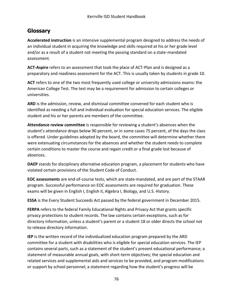# **Glossary**

**Accelerated instruction** is an intensive supplemental program designed to address the needs of an individual student in acquiring the knowledge and skills required at his or her grade level and/or as a result of a student not meeting the passing standard on a state-mandated assessment.

**ACT-Aspire** refers to an assessment that took the place of ACT-Plan and is designed as a preparatory and readiness assessment for the ACT. This is usually taken by students in grade 10.

**ACT** refers to one of the two most frequently used college or university admissions exams: the American College Test. The test may be a requirement for admission to certain colleges or universities.

**ARD** is the admission, review, and dismissal committee convened for each student who is identified as needing a full and individual evaluation for special education services. The eligible student and his or her parents are members of the committee.

**Attendance review committee** is responsible for reviewing a student's absences when the student's attendance drops below 90 percent, or in some cases 75 percent, of the days the class is offered. Under guidelines adopted by the board, the committee will determine whether there were extenuating circumstances for the absences and whether the student needs to complete certain conditions to master the course and regain credit or a final grade lost because of absences.

**DAEP** stands for disciplinary alternative education program, a placement for students who have violated certain provisions of the Student Code of Conduct.

**EOC assessments** are end-of-course tests, which are state-mandated, and are part of the STAAR program. Successful performance on EOC assessments are required for graduation. These exams will be given in English I, English II, Algebra I, Biology, and U.S. History.

**ESSA** is the Every Student Succeeds Act passed by the federal government in December 2015.

**FERPA** refers to the federal Family Educational Rights and Privacy Act that grants specific privacy protections to student records. The law contains certain exceptions, such as for directory information, unless a student's parent or a student 18 or older directs the school not to release directory information.

**IEP** is the written record of the individualized education program prepared by the ARD committee for a student with disabilities who is eligible for special education services. The IEP contains several parts, such as a statement of the student's present educational performance; a statement of measurable annual goals, with short-term objectives; the special education and related services and supplemental aids and services to be provided, and program modifications or support by school personnel; a statement regarding how the student's progress will be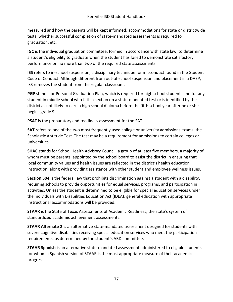measured and how the parents will be kept informed; accommodations for state or districtwide tests; whether successful completion of state-mandated assessments is required for graduation, etc.

**IGC** is the individual graduation committee, formed in accordance with state law, to determine a student's eligibility to graduate when the student has failed to demonstrate satisfactory performance on no more than two of the required state assessments.

**ISS** refers to in-school suspension, a disciplinary technique for misconduct found in the Student Code of Conduct. Although different from out-of-school suspension and placement in a DAEP, ISS removes the student from the regular classroom.

**PGP** stands for Personal Graduation Plan, which is required for high school students and for any student in middle school who fails a section on a state-mandated test or is identified by the district as not likely to earn a high school diploma before the fifth school year after he or she begins grade 9.

**PSAT** is the preparatory and readiness assessment for the SAT.

**SAT** refers to one of the two most frequently used college or university admissions exams: the Scholastic Aptitude Test. The test may be a requirement for admissions to certain colleges or universities.

**SHAC** stands for School Health Advisory Council, a group of at least five members, a majority of whom must be parents, appointed by the school board to assist the district in ensuring that local community values and health issues are reflected in the district's health education instruction, along with providing assistance with other student and employee wellness issues.

**Section 504** is the federal law that prohibits discrimination against a student with a disability, requiring schools to provide opportunities for equal services, programs, and participation in activities. Unless the student is determined to be eligible for special education services under the Individuals with Disabilities Education Act (IDEA), general education with appropriate instructional accommodations will be provided.

**STAAR** is the State of Texas Assessments of Academic Readiness, the state's system of standardized academic achievement assessments.

**STAAR Alternate 2** is an alternative state-mandated assessment designed for students with severe cognitive disabilities receiving special education services who meet the participation requirements, as determined by the student's ARD committee.

**STAAR Spanish** is an alternative state-mandated assessment administered to eligible students for whom a Spanish version of STAAR is the most appropriate measure of their academic progress.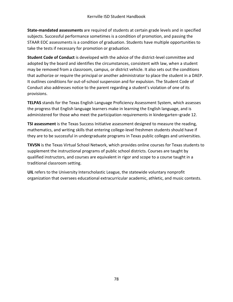**State-mandated assessments** are required of students at certain grade levels and in specified subjects. Successful performance sometimes is a condition of promotion, and passing the STAAR EOC assessments is a condition of graduation. Students have multiple opportunities to take the tests if necessary for promotion or graduation.

**Student Code of Conduct** is developed with the advice of the district-level committee and adopted by the board and identifies the circumstances, consistent with law, when a student may be removed from a classroom, campus, or district vehicle. It also sets out the conditions that authorize or require the principal or another administrator to place the student in a DAEP. It outlines conditions for out-of-school suspension and for expulsion. The Student Code of Conduct also addresses notice to the parent regarding a student's violation of one of its provisions.

**TELPAS** stands for the Texas English Language Proficiency Assessment System, which assesses the progress that English language learners make in learning the English language, and is administered for those who meet the participation requirements in kindergarten–grade 12.

**TSI assessment** is the Texas Success Initiative assessment designed to measure the reading, mathematics, and writing skills that entering college-level freshmen students should have if they are to be successful in undergraduate programs in Texas public colleges and universities.

**TXVSN** is the Texas Virtual School Network, which provides online courses for Texas students to supplement the instructional programs of public school districts. Courses are taught by qualified instructors, and courses are equivalent in rigor and scope to a course taught in a traditional classroom setting.

**UIL** refers to the University Interscholastic League, the statewide voluntary nonprofit organization that oversees educational extracurricular academic, athletic, and music contests.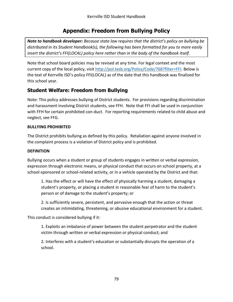### **Appendix: Freedom from Bullying Policy**

*Note to handbook developer: Because state law requires that the district's policy on bullying be distributed in its Student Handbook(s), the following has been formatted for you to more easily insert the district's FFI(LOCAL) policy here rather than in the body of the handbook itself.*

Note that school board policies may be revised at any time. For legal context and the most current copy of the local policy, visit [http://pol.tasb.org/Policy/Code/768?filter=FFI.](http://pol.tasb.org/Policy/Code/768?filter=FFI) Below is the text of Kerrville ISD's policy FFI(LOCAL) as of the date that this handbook was finalized for this school year.

#### **Student Welfare: Freedom from Bullying**

Note: This policy addresses bullying of District students. For provisions regarding discrimination and harassment involving District students, see FFH. Note that FFI shall be used in conjunction with FFH for certain prohibited con-duct. For reporting requirements related to child abuse and neglect, see FFG.

#### **BULLYING PROHIBITED**

The District prohibits bullying as defined by this policy. Retaliation against anyone involved in the complaint process is a violation of District policy and is prohibited.

#### **DEFINITION**

Bullying occurs when a student or group of students engages in written or verbal expression, expression through electronic means, or physical conduct that occurs on school property, at a school-sponsored or school-related activity, or in a vehicle operated by the District and that:

1. Has the effect or will have the effect of physically harming a student, damaging a student's property, or placing a student in reasonable fear of harm to the student's person or of damage to the student's property; or

2. Is sufficiently severe, persistent, and pervasive enough that the action or threat creates an intimidating, threatening, or abusive educational environment for a student.

This conduct is considered bullying if it:

1. Exploits an imbalance of power between the student perpetrator and the student victim through written or verbal expression or physical conduct; and

2. Interferes with a student's education or substantially disrupts the operation of a school.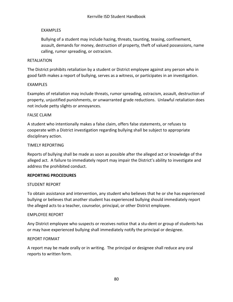#### EXAMPLES

Bullying of a student may include hazing, threats, taunting, teasing, confinement, assault, demands for money, destruction of property, theft of valued possessions, name calling, rumor spreading, or ostracism.

#### RETALIATION

The District prohibits retaliation by a student or District employee against any person who in good faith makes a report of bullying, serves as a witness, or participates in an investigation.

#### EXAMPLES

Examples of retaliation may include threats, rumor spreading, ostracism, assault, destruction of property, unjustified punishments, or unwarranted grade reductions. Unlawful retaliation does not include petty slights or annoyances.

#### FALSE CLAIM

A student who intentionally makes a false claim, offers false statements, or refuses to cooperate with a District investigation regarding bullying shall be subject to appropriate disciplinary action.

#### TIMELY REPORTING

Reports of bullying shall be made as soon as possible after the alleged act or knowledge of the alleged act. A failure to immediately report may impair the District's ability to investigate and address the prohibited conduct.

#### **REPORTING PROCEDURES**

#### STUDENT REPORT

To obtain assistance and intervention, any student who believes that he or she has experienced bullying or believes that another student has experienced bullying should immediately report the alleged acts to a teacher, counselor, principal, or other District employee.

#### EMPLOYEE REPORT

Any District employee who suspects or receives notice that a stu-dent or group of students has or may have experienced bullying shall immediately notify the principal or designee.

#### REPORT FORMAT

A report may be made orally or in writing. The principal or designee shall reduce any oral reports to written form.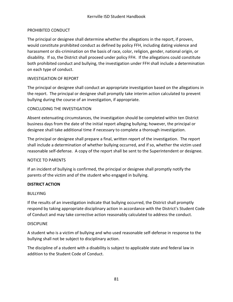#### PROHIBITED CONDUCT

The principal or designee shall determine whether the allegations in the report, if proven, would constitute prohibited conduct as defined by policy FFH, including dating violence and harassment or dis-crimination on the basis of race, color, religion, gender, national origin, or disability. If so, the District shall proceed under policy FFH. If the allegations could constitute both prohibited conduct and bullying, the investigation under FFH shall include a determination on each type of conduct.

#### INVESTIGATION OF REPORT

The principal or designee shall conduct an appropriate investigation based on the allegations in the report. The principal or designee shall promptly take interim action calculated to prevent bullying during the course of an investigation, if appropriate.

#### CONCLUDING THE INVESTIGATION

Absent extenuating circumstances, the investigation should be completed within ten District business days from the date of the initial report alleging bullying; however, the principal or designee shall take additional time if necessary to complete a thorough investigation.

The principal or designee shall prepare a final, written report of the investigation. The report shall include a determination of whether bullying occurred, and if so, whether the victim used reasonable self-defense. A copy of the report shall be sent to the Superintendent or designee.

#### NOTICE TO PARENTS

If an incident of bullying is confirmed, the principal or designee shall promptly notify the parents of the victim and of the student who engaged in bullying.

#### **DISTRICT ACTION**

#### BULLYING

If the results of an investigation indicate that bullying occurred, the District shall promptly respond by taking appropriate disciplinary action in accordance with the District's Student Code of Conduct and may take corrective action reasonably calculated to address the conduct.

#### DISCIPLINE

A student who is a victim of bullying and who used reasonable self-defense in response to the bullying shall not be subject to disciplinary action.

The discipline of a student with a disability is subject to applicable state and federal law in addition to the Student Code of Conduct.